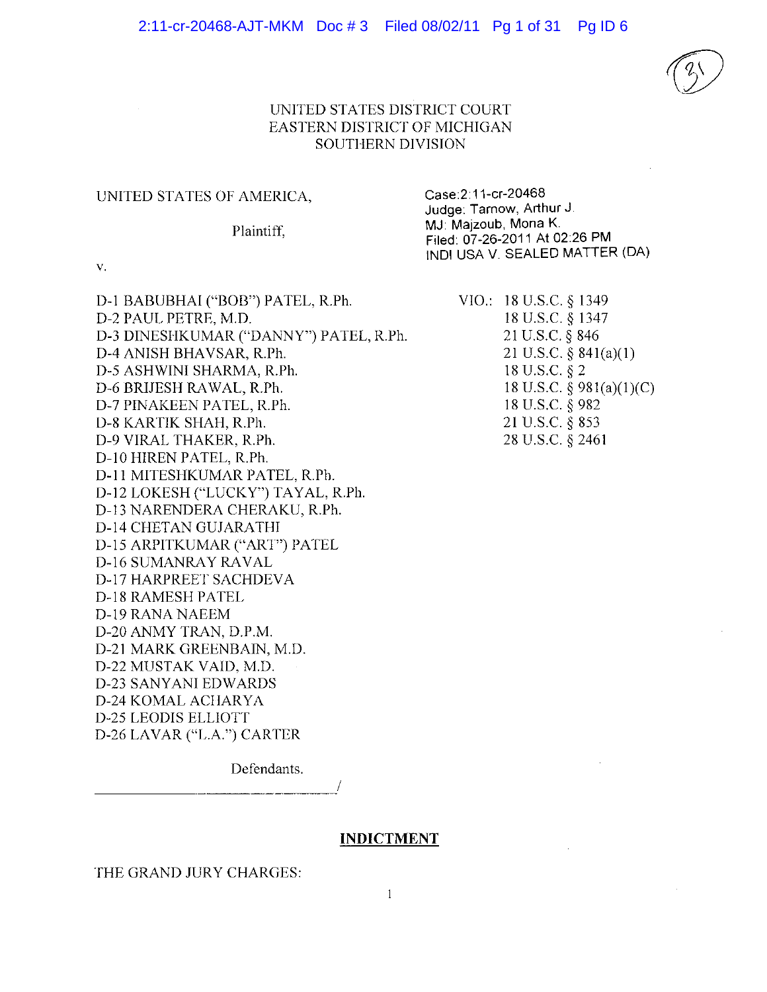

## UNITED STATES DISTRICT COURT EASTERN DISTRICT OF MICHIGAN SOUTHERN DIVISION

#### UNITED STATES OF AMERICA,

#### Plaintiff.

Case: 2:11-cr-20468 Judge: Tarnow, Arthur J. MJ: Majzoub, Mona K. Filed: 07-26-2011 At 02:26 PM INDI USA V. SEALED MATTER (DA)

 $V_{\star}$ 

D-1 BABUBHAI ("BOB") PATEL, R.Ph. D-2 PAUL PETRE, M.D. D-3 DINESHKUMAR ("DANNY") PATEL, R.Ph. D-4 ANISH BHAVSAR, R.Ph. D-5 ASHWINI SHARMA, R.Ph. D-6 BRIJESH RAWAL, R.Ph. D-7 PINAKEEN PATEL, R.Ph. D-8 KARTIK SHAH, R.Ph. D-9 VIRAL THAKER, R.Ph. D-10 HIREN PATEL, R.Ph. D-11 MITESHKUMAR PATEL, R.Ph. D-12 LOKESH ("LUCKY") TAYAL, R.Ph. D-13 NARENDERA CHERAKU, R.Ph. **D-14 CHETAN GUJARATHI** D-15 ARPITKUMAR ("ART") PATEL **D-16 SUMANRAY RAVAL** D-17 HARPREET SACHDEVA D-18 RAMESH PATEL D-19 RANA NAEEM D-20 ANMY TRAN, D.P.M. D-21 MARK GREENBAIN, M.D. D-22 MUSTAK VAID, M.D. D-23 SANYANI EDWARDS D-24 KOMAL ACHARYA **D-25 LEODIS ELLIOTT** D-26 LAVAR ("L.A.") CARTER

VIO.: 18 U.S.C. § 1349 18 U.S.C. § 1347 21 U.S.C. § 846 21 U.S.C.  $\S$  841(a)(1) 18 U.S.C. § 2 18 U.S.C.  $\S$  981(a)(1)(C) 18 U.S.C. § 982 21 U.S.C. § 853 28 U.S.C. § 2461

Defendants.

#### **INDICTMENT**

THE GRAND JURY CHARGES: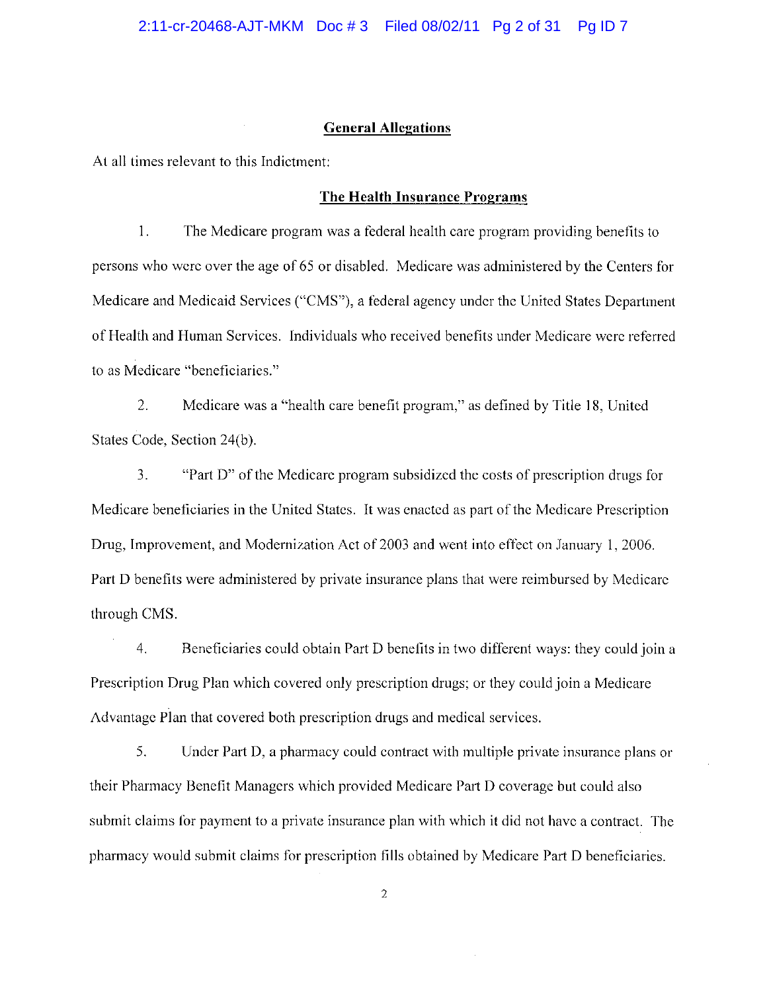#### **General Allegations**

At all times relevant to this Indictment:

## The Health Insurance Programs

 $1<sub>1</sub>$ The Medicare program was a federal health care program providing benefits to persons who were over the age of 65 or disabled. Medicare was administered by the Centers for Medicare and Medicaid Services ("CMS"), a federal agency under the United States Department of Health and Human Services. Individuals who received benefits under Medicare were referred to as Medicare "beneficiaries."

 $2.$ Medicare was a "health care benefit program," as defined by Title 18, United States Code, Section 24(b).

 $3<sub>1</sub>$ "Part D" of the Medicare program subsidized the costs of prescription drugs for Medicare beneficiaries in the United States. It was enacted as part of the Medicare Prescription Drug, Improvement, and Modernization Act of 2003 and went into effect on January 1, 2006. Part D benefits were administered by private insurance plans that were reimbursed by Medicare through CMS.

 $4.$ Beneficiaries could obtain Part D benefits in two different ways: they could join a Prescription Drug Plan which covered only prescription drugs; or they could join a Medicare Advantage Plan that covered both prescription drugs and medical services.

5. Under Part D, a pharmacy could contract with multiple private insurance plans or their Pharmacy Benefit Managers which provided Medicare Part D coverage but could also submit claims for payment to a private insurance plan with which it did not have a contract. The pharmacy would submit claims for prescription fills obtained by Medicare Part D beneficiaries.

 $\overline{2}$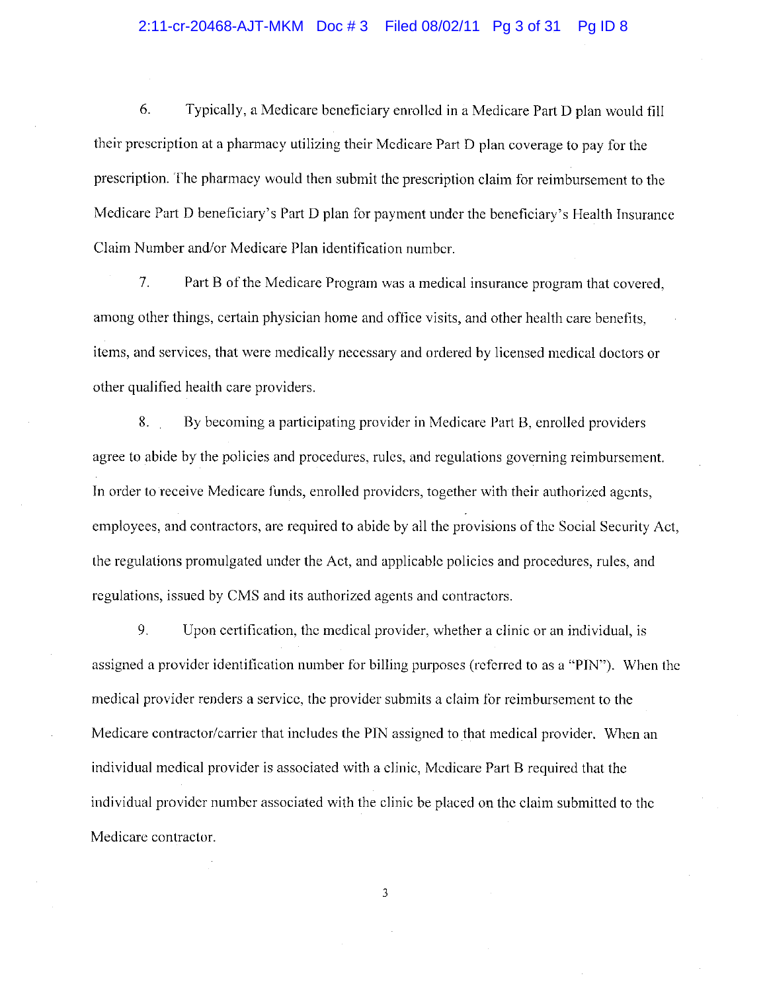#### 2:11-cr-20468-AJT-MKM Doc #3 Filed 08/02/11 Pg 3 of 31 Pa ID 8

6. Typically, a Medicare beneficiary enrolled in a Medicare Part D plan would fill their prescription at a pharmacy utilizing their Medicare Part D plan coverage to pay for the prescription. The pharmacy would then submit the prescription claim for reimbursement to the Medicare Part D beneficiary's Part D plan for payment under the beneficiary's Health Insurance Claim Number and/or Medicare Plan identification number.

 $7.$ Part B of the Medicare Program was a medical insurance program that covered. among other things, certain physician home and office visits, and other health care benefits. items, and services, that were medically necessary and ordered by licensed medical doctors or other qualified health care providers.

By becoming a participating provider in Medicare Part B, enrolled providers 8. agree to abide by the policies and procedures, rules, and regulations governing reimbursement. In order to receive Medicare funds, enrolled providers, together with their authorized agents, employees, and contractors, are required to abide by all the provisions of the Social Security Act. the regulations promulgated under the Act, and applicable policies and procedures, rules, and regulations, issued by CMS and its authorized agents and contractors.

Upon certification, the medical provider, whether a clinic or an individual, is 9. assigned a provider identification number for billing purposes (referred to as a "PIN"). When the medical provider renders a service, the provider submits a claim for reimbursement to the Medicare contractor/carrier that includes the PIN assigned to that medical provider. When an individual medical provider is associated with a clinic, Medicare Part B required that the individual provider number associated with the clinic be placed on the claim submitted to the Medicare contractor.

 $\overline{3}$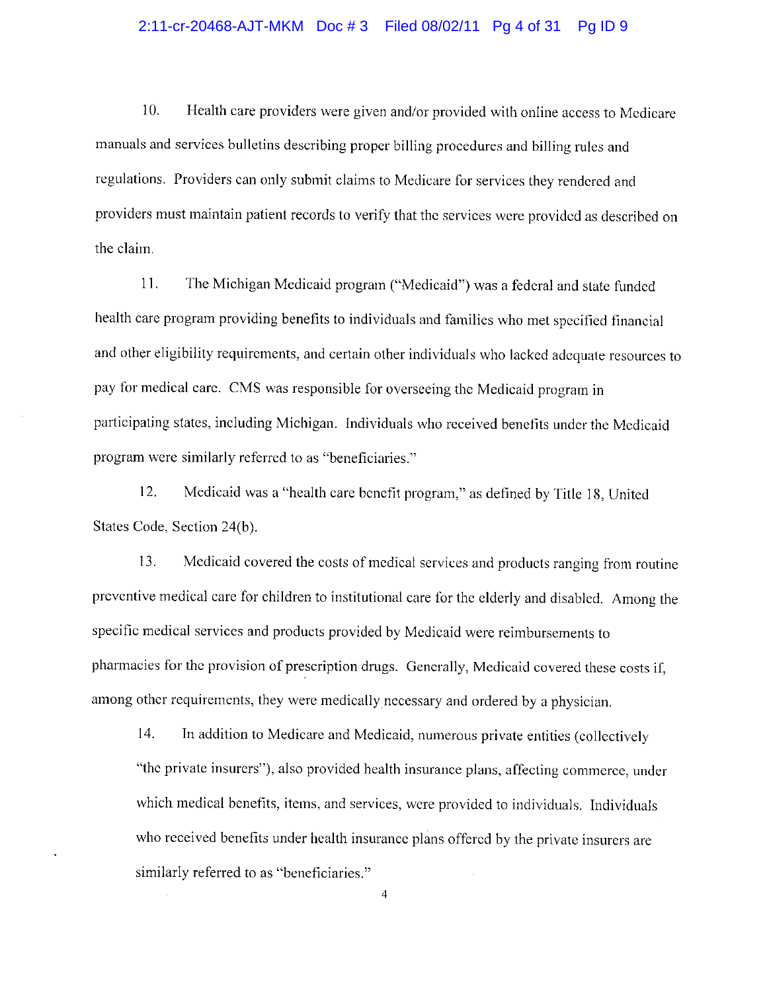#### 2:11-cr-20468-AJT-MKM Doc #3 Filed 08/02/11 Pg 4 of 31 Pg ID 9

10. Health care providers were given and/or provided with online access to Medicare manuals and services bulletins describing proper billing procedures and billing rules and regulations. Providers can only submit claims to Medicare for services they rendered and providers must maintain patient records to verify that the services were provided as described on the claim.

11. The Michigan Medicaid program ("Medicaid") was a federal and state funded health care program providing benefits to individuals and families who met specified financial and other eligibility requirements, and certain other individuals who lacked adequate resources to pay for medical care. CMS was responsible for overseeing the Medicaid program in participating states, including Michigan. Individuals who received benefits under the Medicaid program were similarly referred to as "beneficiaries."

 $12.$ Medicaid was a "health care benefit program," as defined by Title 18, United States Code, Section 24(b).

13. Medicaid covered the costs of medical services and products ranging from routine preventive medical care for children to institutional care for the elderly and disabled. Among the specific medical services and products provided by Medicaid were reimbursements to pharmacies for the provision of prescription drugs. Generally, Medicaid covered these costs if, among other requirements, they were medically necessary and ordered by a physician.

14. In addition to Medicare and Medicaid, numerous private entities (collectively "the private insurers"), also provided health insurance plans, affecting commerce, under which medical benefits, items, and services, were provided to individuals. Individuals who received benefits under health insurance plans offered by the private insurers are similarly referred to as "beneficiaries."

 $\overline{4}$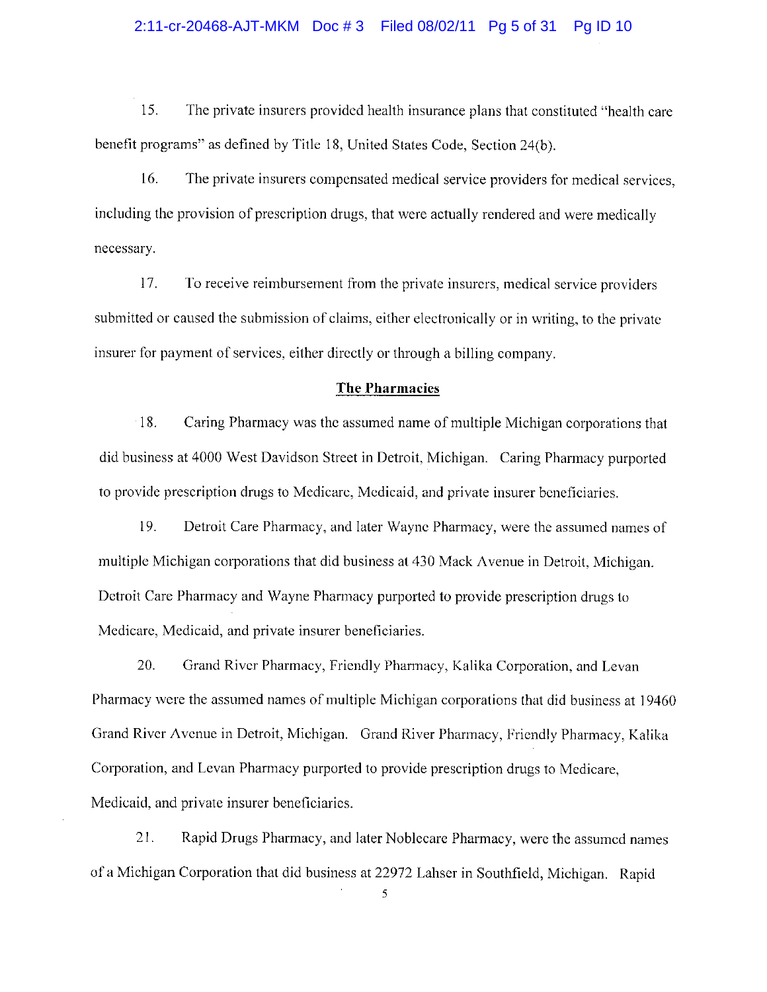#### 2:11-cr-20468-AJT-MKM Doc #3 Filed 08/02/11 Pg 5 of 31 Pg ID 10

 $15.$ The private insurers provided health insurance plans that constituted "health care benefit programs" as defined by Title 18, United States Code, Section 24(b).

16. The private insurers compensated medical service providers for medical services. including the provision of prescription drugs, that were actually rendered and were medically necessary.

17. To receive reimbursement from the private insurers, medical service providers submitted or caused the submission of claims, either electronically or in writing, to the private insurer for payment of services, either directly or through a billing company.

#### **The Pharmacies**

18. Caring Pharmacy was the assumed name of multiple Michigan corporations that did business at 4000 West Davidson Street in Detroit, Michigan. Caring Pharmacy purported to provide prescription drugs to Medicare, Medicaid, and private insurer beneficiaries.

19. Detroit Care Pharmacy, and later Wayne Pharmacy, were the assumed names of multiple Michigan corporations that did business at 430 Mack Avenue in Detroit, Michigan. Detroit Care Pharmacy and Wayne Pharmacy purported to provide prescription drugs to Medicare, Medicaid, and private insurer beneficiaries.

20. Grand River Pharmacy, Friendly Pharmacy, Kalika Corporation, and Levan Pharmacy were the assumed names of multiple Michigan corporations that did business at 19460 Grand River Avenue in Detroit, Michigan. Grand River Pharmacy, Friendly Pharmacy, Kalika Corporation, and Levan Pharmacy purported to provide prescription drugs to Medicare, Medicaid, and private insurer beneficiaries.

 $21.$ Rapid Drugs Pharmacy, and later Noblecare Pharmacy, were the assumed names of a Michigan Corporation that did business at 22972 Lahser in Southfield, Michigan. Rapid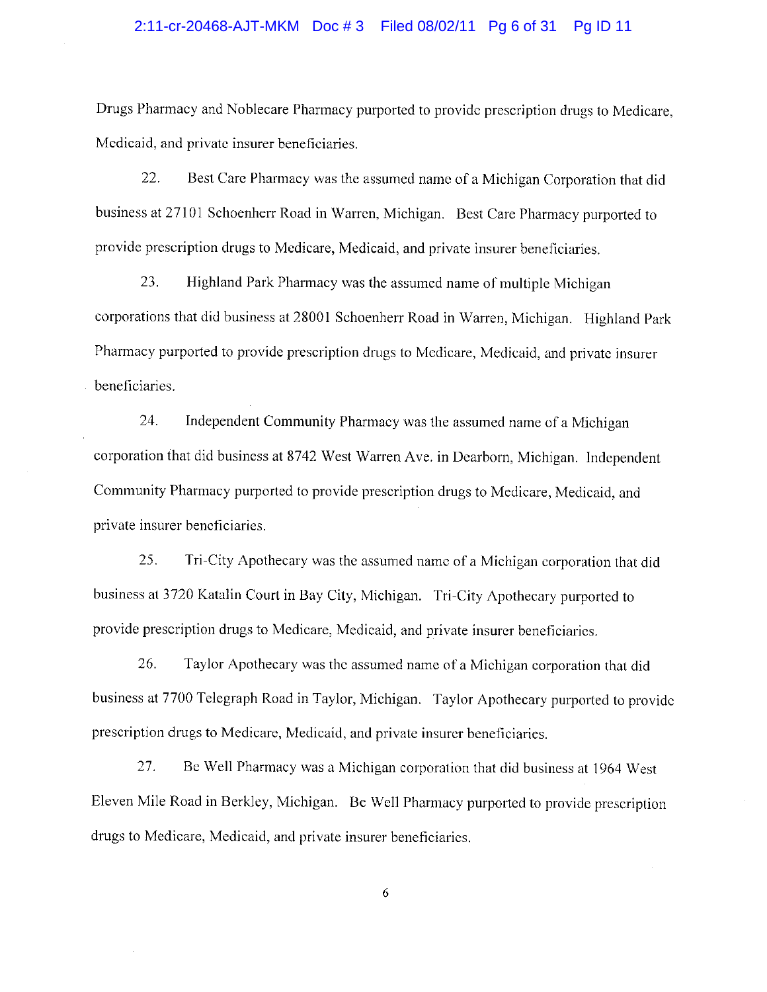#### 2:11-cr-20468-AJT-MKM Doc #3 Filed 08/02/11 Pg 6 of 31 Pg ID 11

Drugs Pharmacy and Noblecare Pharmacy purported to provide prescription drugs to Medicare, Medicaid, and private insurer beneficiaries.

 $22.$ Best Care Pharmacy was the assumed name of a Michigan Corporation that did business at 27101 Schoenherr Road in Warren, Michigan. Best Care Pharmacy purported to provide prescription drugs to Medicare, Medicaid, and private insurer beneficiaries.

23. Highland Park Pharmacy was the assumed name of multiple Michigan corporations that did business at 28001 Schoenherr Road in Warren, Michigan. Highland Park Pharmacy purported to provide prescription drugs to Medicare, Medicaid, and private insurer beneficiaries.

24. Independent Community Pharmacy was the assumed name of a Michigan corporation that did business at 8742 West Warren Ave. in Dearborn, Michigan. Independent. Community Pharmacy purported to provide prescription drugs to Medicare, Medicaid, and private insurer beneficiaries.

25. Tri-City Apothecary was the assumed name of a Michigan corporation that did business at 3720 Katalin Court in Bay City, Michigan. Tri-City Apothecary purported to provide prescription drugs to Medicare, Medicaid, and private insurer beneficiaries.

26. Taylor Apothecary was the assumed name of a Michigan corporation that did business at 7700 Telegraph Road in Taylor, Michigan. Taylor Apothecary purported to provide prescription drugs to Medicare, Medicaid, and private insurer beneficiaries.

27. Be Well Pharmacy was a Michigan corporation that did business at 1964 West Eleven Mile Road in Berkley, Michigan. Be Well Pharmacy purported to provide prescription drugs to Medicare, Medicaid, and private insurer beneficiaries.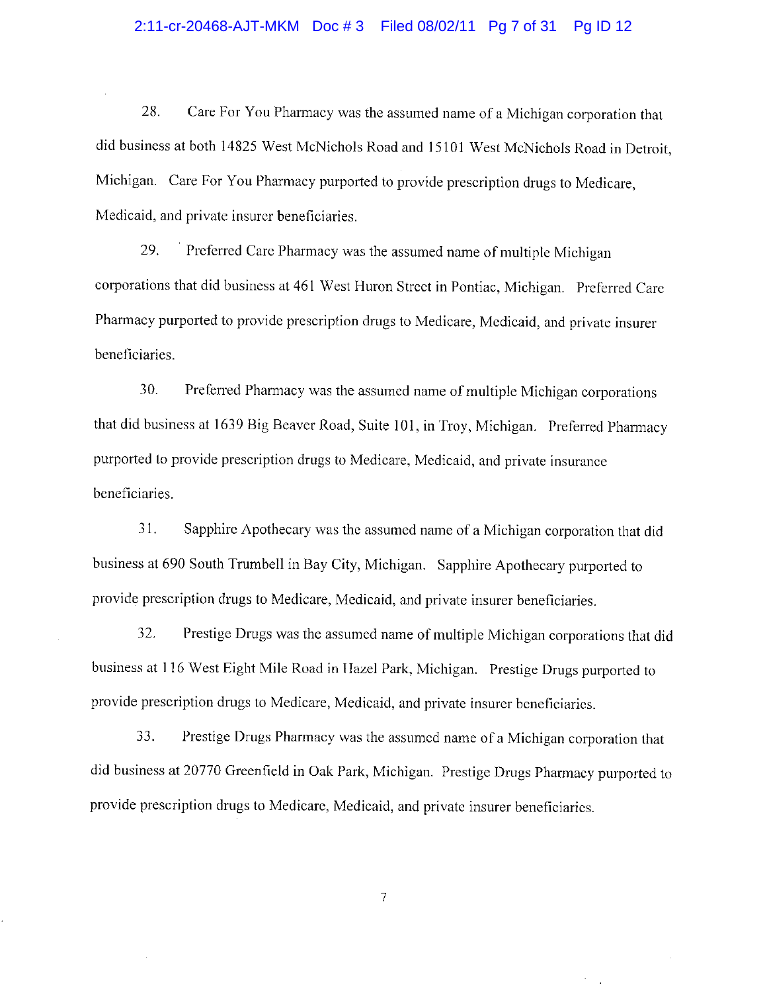#### 2:11-cr-20468-AJT-MKM Doc #3 Filed 08/02/11 Pg 7 of 31 Pg ID 12

28. Care For You Pharmacy was the assumed name of a Michigan corporation that did business at both 14825 West McNichols Road and 15101 West McNichols Road in Detroit, Michigan. Care For You Pharmacy purported to provide prescription drugs to Medicare, Medicaid, and private insurer beneficiaries.

Preferred Care Pharmacy was the assumed name of multiple Michigan 29. corporations that did business at 461 West Huron Street in Pontiac, Michigan. Preferred Care Pharmacy purported to provide prescription drugs to Medicare, Medicaid, and private insurer beneficiaries.

30. Preferred Pharmacy was the assumed name of multiple Michigan corporations that did business at 1639 Big Beaver Road, Suite 101, in Troy, Michigan. Preferred Pharmacy purported to provide prescription drugs to Medicare, Medicaid, and private insurance beneficiaries.

31. Sapphire Apothecary was the assumed name of a Michigan corporation that did business at 690 South Trumbell in Bay City, Michigan. Sapphire Apothecary purported to provide prescription drugs to Medicare, Medicaid, and private insurer beneficiaries.

32. Prestige Drugs was the assumed name of multiple Michigan corporations that did business at 116 West Eight Mile Road in Hazel Park, Michigan. Prestige Drugs purported to provide prescription drugs to Medicare, Medicaid, and private insurer beneficiaries.

33. Prestige Drugs Pharmacy was the assumed name of a Michigan corporation that did business at 20770 Greenfield in Oak Park, Michigan. Prestige Drugs Pharmacy purported to provide prescription drugs to Medicare, Medicaid, and private insurer beneficiaries.

 $\overline{\mathcal{I}}$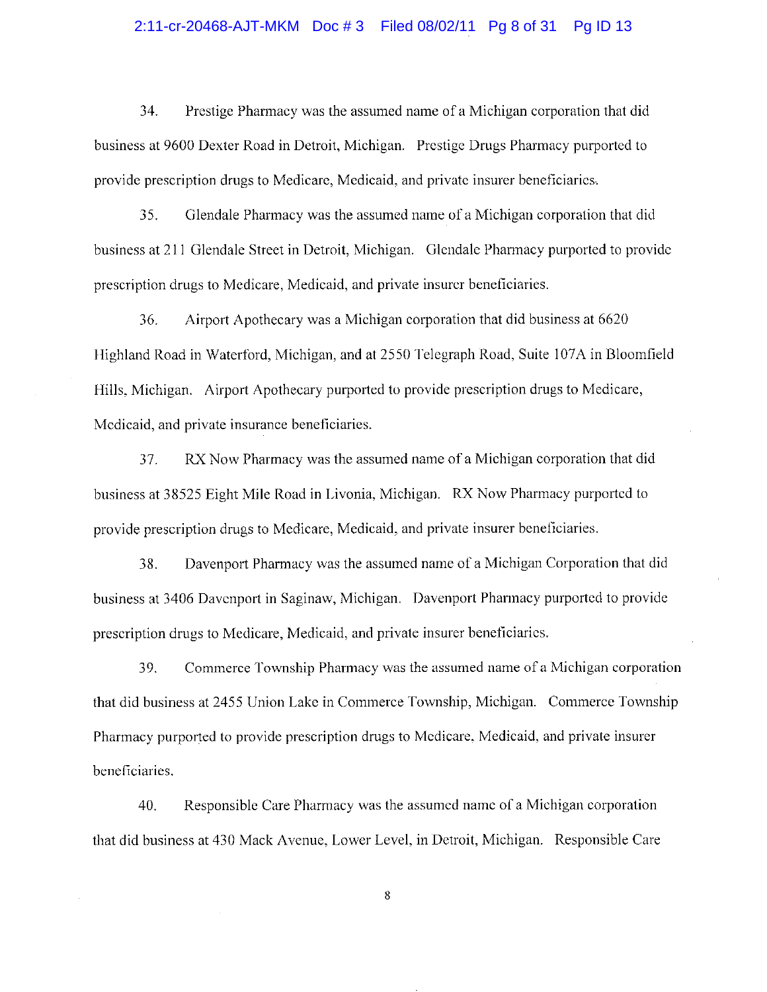#### 2:11-cr-20468-AJT-MKM Doc #3 Filed 08/02/11 Pg 8 of 31 Pg ID 13

34. Prestige Pharmacy was the assumed name of a Michigan corporation that did business at 9600 Dexter Road in Detroit, Michigan. Prestige Drugs Pharmacy purported to provide prescription drugs to Medicare, Medicaid, and private insurer beneficiaries.

Glendale Pharmacy was the assumed name of a Michigan corporation that did 35. business at 211 Glendale Street in Detroit, Michigan. Glendale Pharmacy purported to provide prescription drugs to Medicare, Medicaid, and private insurer beneficiaries.

36. Airport Apothecary was a Michigan corporation that did business at 6620 Highland Road in Waterford, Michigan, and at 2550 Telegraph Road, Suite 107A in Bloomfield Hills, Michigan. Airport Apothecary purported to provide prescription drugs to Medicare, Medicaid, and private insurance beneficiaries.

RX Now Pharmacy was the assumed name of a Michigan corporation that did 37. business at 38525 Eight Mile Road in Livonia, Michigan. RX Now Pharmacy purported to provide prescription drugs to Medicare, Medicaid, and private insurer beneficiaries.

Davenport Pharmacy was the assumed name of a Michigan Corporation that did 38. business at 3406 Davenport in Saginaw, Michigan. Davenport Pharmacy purported to provide prescription drugs to Medicare, Medicaid, and private insurer beneficiaries.

Commerce Township Pharmacy was the assumed name of a Michigan corporation 39. that did business at 2455 Union Lake in Commerce Township, Michigan. Commerce Township Pharmacy purported to provide prescription drugs to Medicare, Medicaid, and private insurer beneficiaries.

Responsible Care Pharmacy was the assumed name of a Michigan corporation 40. that did business at 430 Mack Avenue, Lower Level, in Detroit, Michigan. Responsible Care

 $\bf 8$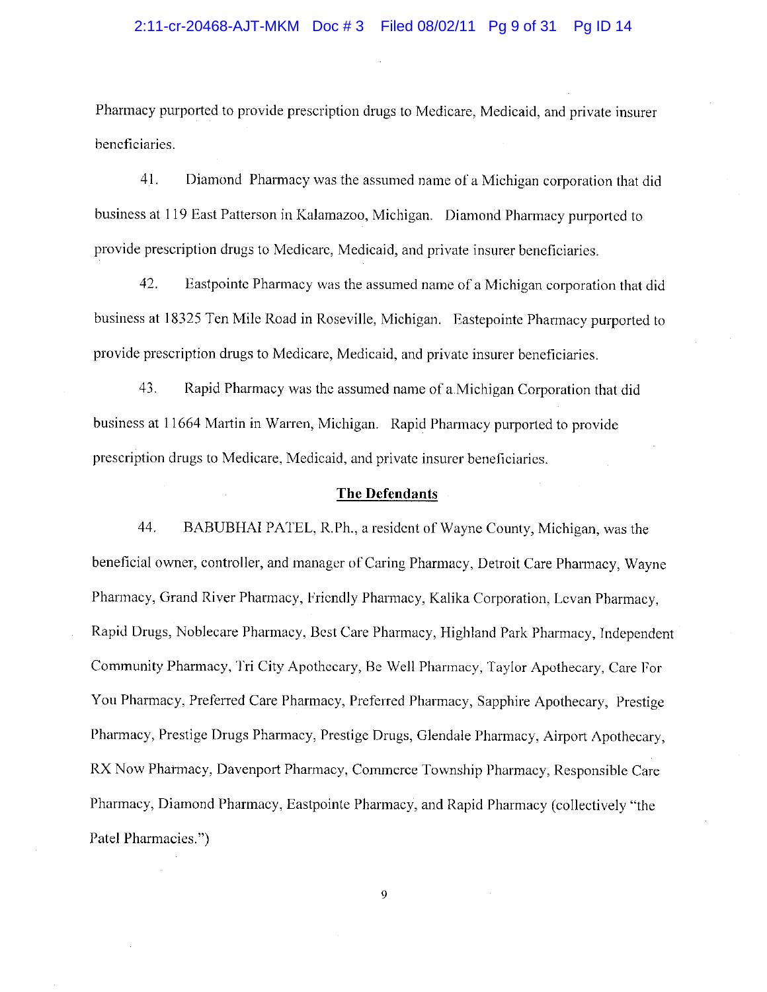Pharmacy purported to provide prescription drugs to Medicare, Medicaid, and private insurer beneficiaries.

41. Diamond Pharmacy was the assumed name of a Michigan corporation that did business at 119 East Patterson in Kalamazoo, Michigan. Diamond Pharmacy purported to provide prescription drugs to Medicare, Medicaid, and private insurer beneficiaries.

42. Eastpointe Pharmacy was the assumed name of a Michigan corporation that did business at 18325 Ten Mile Road in Roseville, Michigan. Eastepointe Pharmacy purported to provide prescription drugs to Medicare, Medicaid, and private insurer beneficiaries.

43. Rapid Pharmacy was the assumed name of a Michigan Corporation that did business at 11664 Martin in Warren, Michigan. Rapid Pharmacy purported to provide prescription drugs to Medicare, Medicaid, and private insurer beneficiaries.

#### **The Defendants**

44. BABUBHAI PATEL, R.Ph., a resident of Wayne County, Michigan, was the beneficial owner, controller, and manager of Caring Pharmacy, Detroit Care Pharmacy, Wayne Pharmacy, Grand River Pharmacy, Friendly Pharmacy, Kalika Corporation, Levan Pharmacy, Rapid Drugs, Noblecare Pharmacy, Best Care Pharmacy, Highland Park Pharmacy, Independent Community Pharmacy, Tri City Apothecary, Be Well Pharmacy, Taylor Apothecary, Care For You Pharmacy, Preferred Care Pharmacy, Preferred Pharmacy, Sapphire Apothecary, Prestige Pharmacy, Prestige Drugs Pharmacy, Prestige Drugs, Glendale Pharmacy, Airport Apothecary, RX Now Pharmacy, Davenport Pharmacy, Commerce Township Pharmacy, Responsible Care Pharmacy, Diamond Pharmacy, Eastpointe Pharmacy, and Rapid Pharmacy (collectively "the Patel Pharmacies.")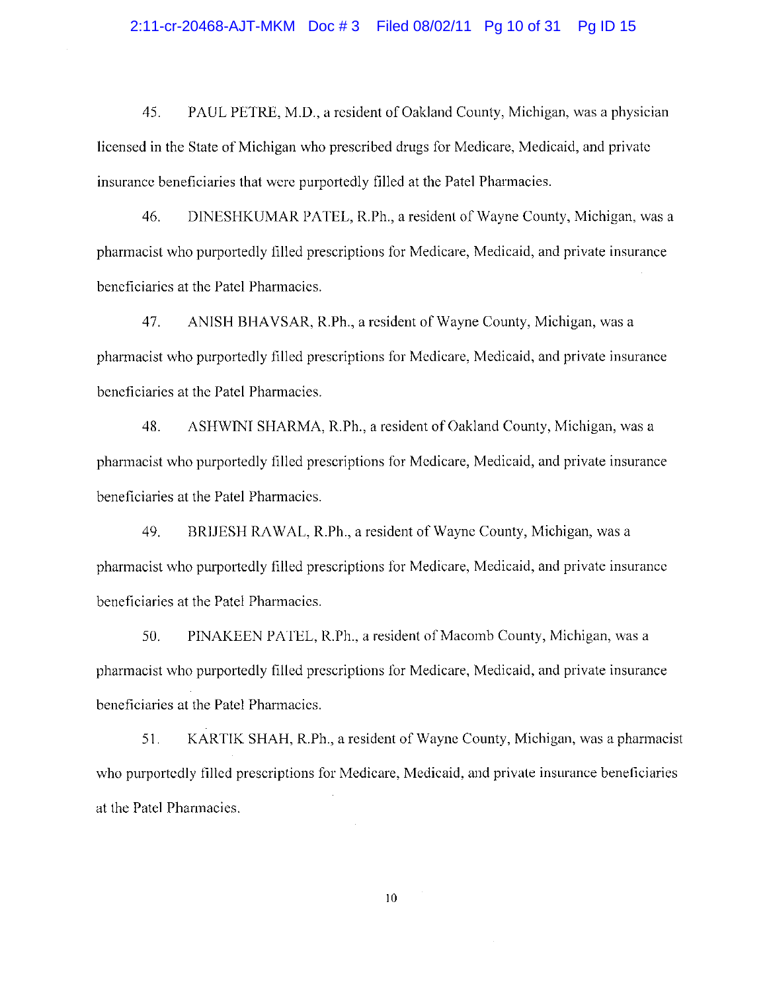#### 2:11-cr-20468-AJT-MKM Doc #3 Filed 08/02/11 Pg 10 of 31 Pg ID 15

45. PAUL PETRE, M.D., a resident of Oakland County, Michigan, was a physician licensed in the State of Michigan who prescribed drugs for Medicare, Medicaid, and private insurance beneficiaries that were purportedly filled at the Patel Pharmacies.

DINESHKUMAR PATEL, R.Ph., a resident of Wayne County, Michigan, was a 46. pharmacist who purportedly filled prescriptions for Medicare, Medicaid, and private insurance beneficiaries at the Patel Pharmacies.

ANISH BHAVSAR, R.Ph., a resident of Wayne County, Michigan, was a 47. pharmacist who purportedly filled prescriptions for Medicare, Medicaid, and private insurance beneficiaries at the Patel Pharmacies.

48. ASHWINI SHARMA, R.Ph., a resident of Oakland County, Michigan, was a pharmacist who purportedly filled prescriptions for Medicare, Medicaid, and private insurance beneficiaries at the Patel Pharmacies.

49. BRIJESH RAWAL, R.Ph., a resident of Wayne County, Michigan, was a pharmacist who purportedly filled prescriptions for Medicare, Medicaid, and private insurance beneficiaries at the Patel Pharmacies.

50. PINAKEEN PATEL, R.Ph., a resident of Macomb County, Michigan, was a pharmacist who purportedly filled prescriptions for Medicare, Medicaid, and private insurance beneficiaries at the Patel Pharmacics.

51. KARTIK SHAH, R.Ph., a resident of Wayne County, Michigan, was a pharmacist who purportedly filled prescriptions for Medicare, Medicaid, and private insurance beneficiaries at the Patel Pharmacies.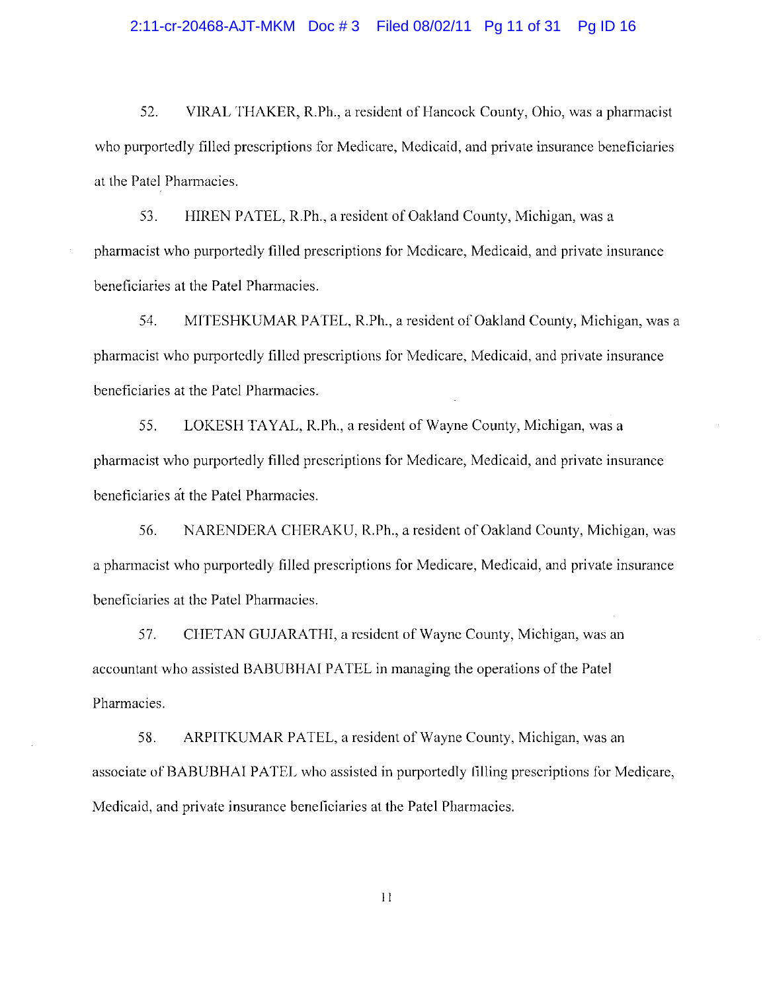#### 2:11-cr-20468-AJT-MKM Doc #3 Filed 08/02/11 Pg 11 of 31 Pg ID 16

VIRAL THAKER, R.Ph., a resident of Hancock County, Ohio, was a pharmacist 52. who purportedly filled prescriptions for Medicare, Medicaid, and private insurance beneficiaries at the Patel Pharmacies.

HIREN PATEL, R.Ph., a resident of Oakland County, Michigan, was a 53. pharmacist who purportedly filled prescriptions for Medicare, Medicaid, and private insurance beneficiaries at the Patel Pharmacies.

54. MITESHKUMAR PATEL, R.Ph., a resident of Oakland County, Michigan, was a pharmacist who purportedly filled prescriptions for Medicare, Medicaid, and private insurance beneficiaries at the Patel Pharmacies.

LOKESH TAYAL, R.Ph., a resident of Wayne County, Michigan, was a 55. pharmacist who purportedly filled prescriptions for Medicare, Medicaid, and private insurance beneficiaries at the Patel Pharmacies.

NARENDERA CHERAKU, R.Ph., a resident of Oakland County, Michigan, was 56. a pharmacist who purportedly filled prescriptions for Medicare, Medicaid, and private insurance beneficiaries at the Patel Pharmacies.

57. CHETAN GUJARATHI, a resident of Wayne County, Michigan, was an accountant who assisted BABUBHAI PATEL in managing the operations of the Patel Pharmacies.

58. ARPITKUMAR PATEL, a resident of Wayne County, Michigan, was an associate of BABUBHAI PATEL who assisted in purportedly filling prescriptions for Medicare, Medicaid, and private insurance beneficiaries at the Patel Pharmacies.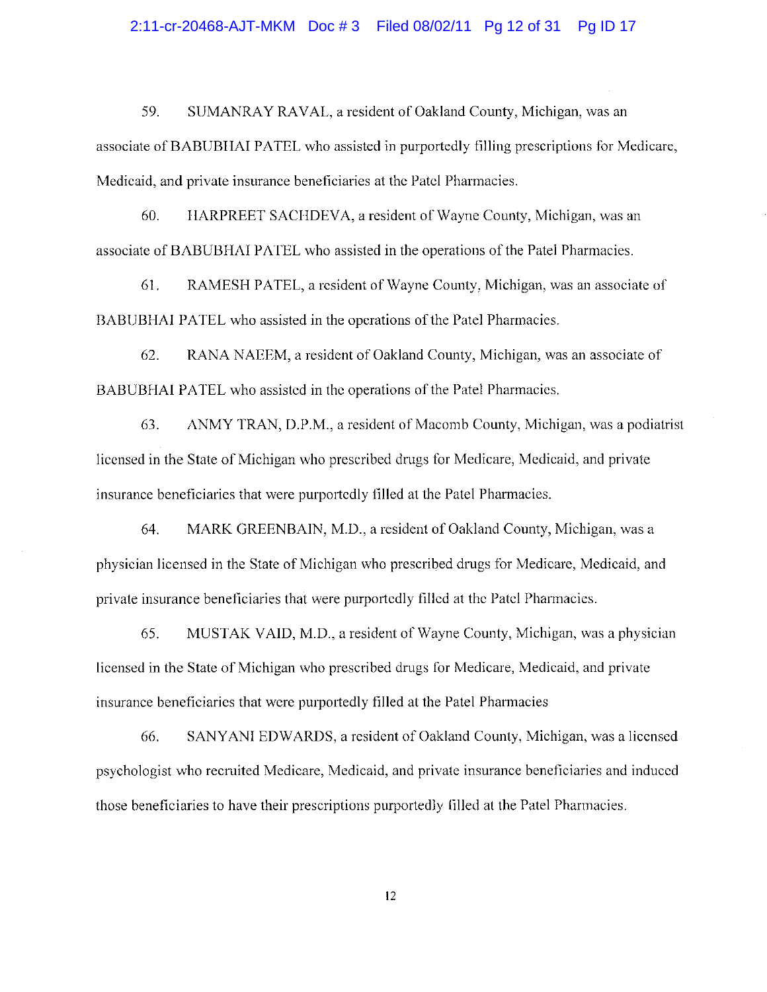#### 2:11-cr-20468-AJT-MKM Doc #3 Filed 08/02/11 Pg 12 of 31 Pg ID 17

59. SUMANRAY RAVAL, a resident of Oakland County, Michigan, was an associate of BABUBHAI PATEL who assisted in purportedly filling prescriptions for Medicare, Medicaid, and private insurance beneficiaries at the Patel Pharmacies.

HARPREET SACHDEVA, a resident of Wayne County, Michigan, was an 60. associate of BABUBHAI PATEL who assisted in the operations of the Patel Pharmacies.

61. RAMESH PATEL, a resident of Wayne County, Michigan, was an associate of BABUBHAI PATEL who assisted in the operations of the Patel Pharmacies.

62. RANA NAEEM, a resident of Oakland County, Michigan, was an associate of BABUBHAI PATEL who assisted in the operations of the Patel Pharmacies.

ANMY TRAN, D.P.M., a resident of Macomb County, Michigan, was a podiatrist 63. licensed in the State of Michigan who prescribed drugs for Medicare, Medicaid, and private insurance beneficiaries that were purportedly filled at the Patel Pharmacies.

64. MARK GREENBAIN, M.D., a resident of Oakland County, Michigan, was a physician licensed in the State of Michigan who prescribed drugs for Medicare, Medicaid, and private insurance beneficiaries that were purportedly filled at the Patel Pharmacies.

MUSTAK VAID, M.D., a resident of Wayne County, Michigan, was a physician 65. licensed in the State of Michigan who prescribed drugs for Medicare, Medicaid, and private insurance beneficiaries that were purportedly filled at the Patel Pharmacies

SANYANI EDWARDS, a resident of Oakland County, Michigan, was a licensed 66. psychologist who recruited Medicare, Medicaid, and private insurance beneficiaries and induced those beneficiaries to have their prescriptions purportedly filled at the Patel Pharmacies.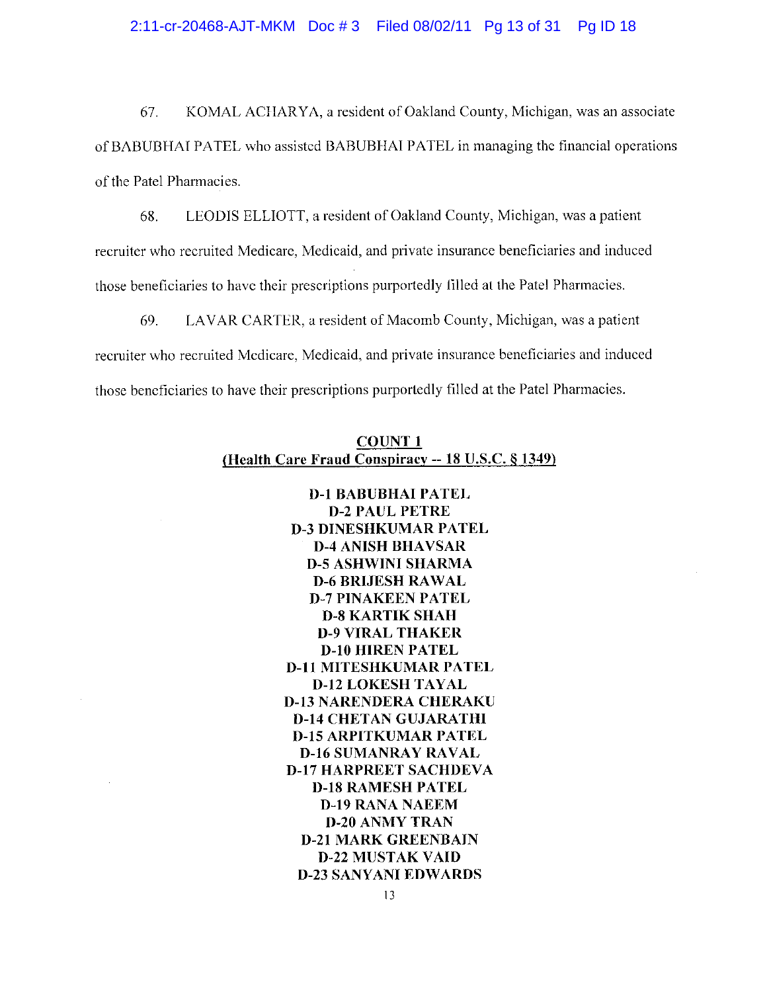## 2:11-cr-20468-AJT-MKM Doc #3 Filed 08/02/11 Pg 13 of 31 Pg ID 18

KOMAL ACHARYA, a resident of Oakland County, Michigan, was an associate 67. of BABUBHAI PATEL who assisted BABUBHAI PATEL in managing the financial operations of the Patel Pharmacies.

LEODIS ELLIOTT, a resident of Oakland County, Michigan, was a patient 68. recruiter who recruited Medicare, Medicaid, and private insurance beneficiaries and induced those beneficiaries to have their prescriptions purportedly filled at the Patel Pharmacies.

69. LAVAR CARTER, a resident of Macomb County, Michigan, was a patient recruiter who recruited Medicare, Medicaid, and private insurance beneficiaries and induced those beneficiaries to have their prescriptions purportedly filled at the Patel Pharmacies.

|                                                    | <b>COUNT 1</b> |  |  |
|----------------------------------------------------|----------------|--|--|
| (Health Care Fraud Conspiracy -- 18 U.S.C. § 1349) |                |  |  |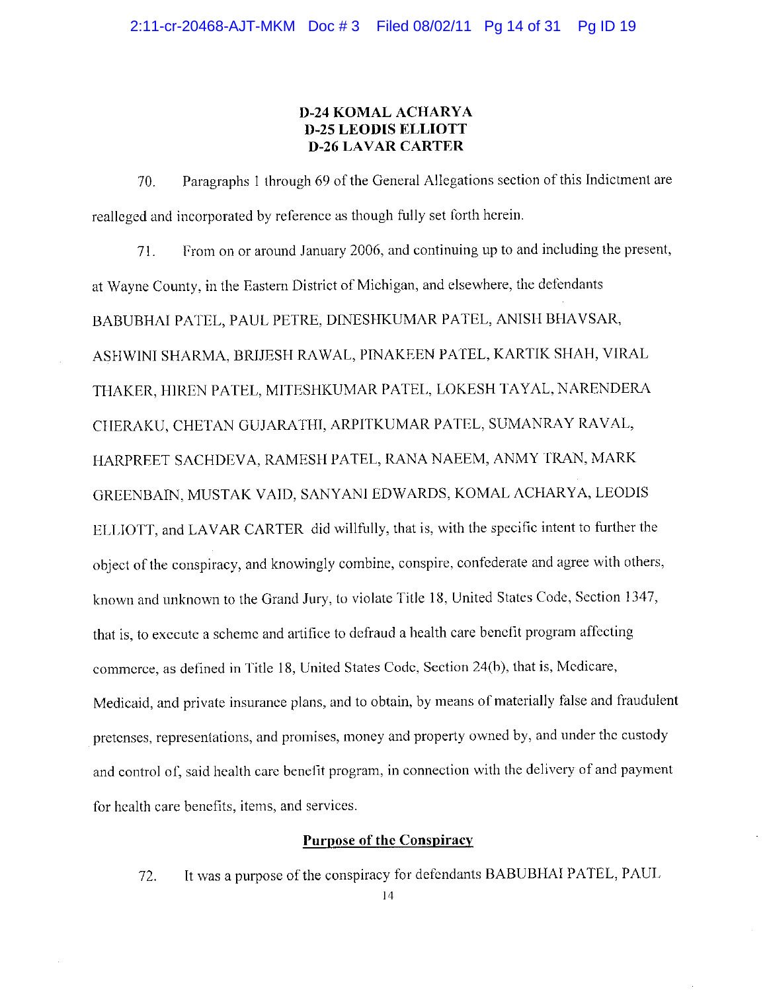## **D-24 KOMAL ACHARYA D-25 LEODIS ELLIOTT D-26 LAVAR CARTER**

Paragraphs 1 through 69 of the General Allegations section of this Indictment are 70. realleged and incorporated by reference as though fully set forth herein.

From on or around January 2006, and continuing up to and including the present, 71. at Wayne County, in the Eastern District of Michigan, and elsewhere, the defendants BABUBHAI PATEL, PAUL PETRE, DINESHKUMAR PATEL, ANISH BHAVSAR, ASHWINI SHARMA, BRIJESH RAWAL, PINAKEEN PATEL, KARTIK SHAH, VIRAL THAKER, HIREN PATEL, MITESHKUMAR PATEL, LOKESH TAYAL, NARENDERA CHERAKU, CHETAN GUJARATHI, ARPITKUMAR PATEL, SUMANRAY RAVAL, HARPREET SACHDEVA, RAMESH PATEL, RANA NAEEM, ANMY TRAN, MARK GREENBAIN, MUSTAK VAID, SANYANI EDWARDS, KOMAL ACHARYA, LEODIS ELLIOTT, and LAVAR CARTER did willfully, that is, with the specific intent to further the object of the conspiracy, and knowingly combine, conspire, confederate and agree with others, known and unknown to the Grand Jury, to violate Title 18, United States Code, Section 1347, that is, to execute a scheme and artifice to defraud a health care benefit program affecting commerce, as defined in Title 18, United States Code, Section 24(b), that is, Medicare, Medicaid, and private insurance plans, and to obtain, by means of materially false and fraudulent pretenses, representations, and promises, money and property owned by, and under the custody and control of, said health care benefit program, in connection with the delivery of and payment for health care benefits, items, and services.

## **Purpose of the Conspiracy**

It was a purpose of the conspiracy for defendants BABUBHAI PATEL, PAUL 72.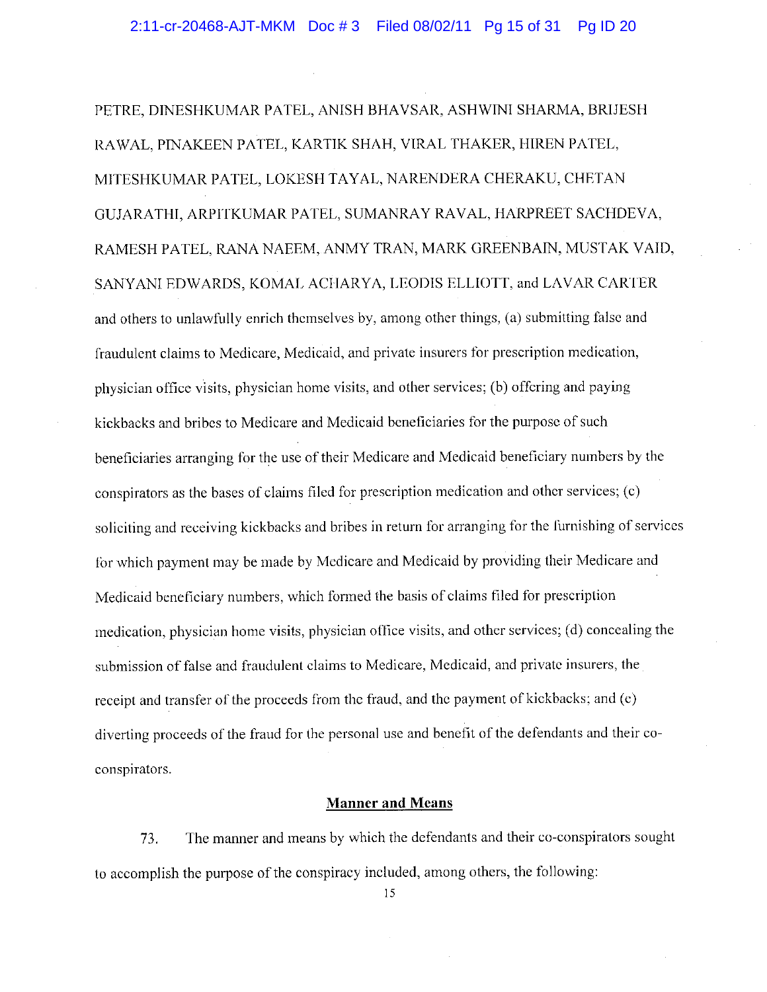PETRE, DINESHKUMAR PATEL, ANISH BHAVSAR, ASHWINI SHARMA, BRIJESH RAWAL, PINAKEEN PATEL, KARTIK SHAH, VIRAL THAKER, HIREN PATEL, MITESHKUMAR PATEL, LOKESH TAYAL, NARENDERA CHERAKU, CHETAN GUJARATHI, ARPITKUMAR PATEL, SUMANRAY RAVAL, HARPREET SACHDEVA, RAMESH PATEL, RANA NAEEM, ANMY TRAN, MARK GREENBAIN, MUSTAK VAID, SANYANI EDWARDS, KOMAL ACHARYA, LEODIS ELLIOTT, and LAVAR CARTER and others to unlawfully enrich themselves by, among other things, (a) submitting false and fraudulent claims to Medicare, Medicaid, and private insurers for prescription medication, physician office visits, physician home visits, and other services; (b) offering and paying kickbacks and bribes to Medicare and Medicaid beneficiaries for the purpose of such beneficiaries arranging for the use of their Medicare and Medicaid beneficiary numbers by the conspirators as the bases of claims filed for prescription medication and other services; (c) soliciting and receiving kickbacks and bribes in return for arranging for the furnishing of services for which payment may be made by Medicare and Medicaid by providing their Medicare and Medicaid beneficiary numbers, which formed the basis of claims filed for prescription medication, physician home visits, physician office visits, and other services; (d) concealing the submission of false and fraudulent claims to Medicare, Medicaid, and private insurers, the receipt and transfer of the proceeds from the fraud, and the payment of kickbacks; and (e) diverting proceeds of the fraud for the personal use and benefit of the defendants and their coconspirators.

#### **Manner and Means**

The manner and means by which the defendants and their co-conspirators sought 73. to accomplish the purpose of the conspiracy included, among others, the following: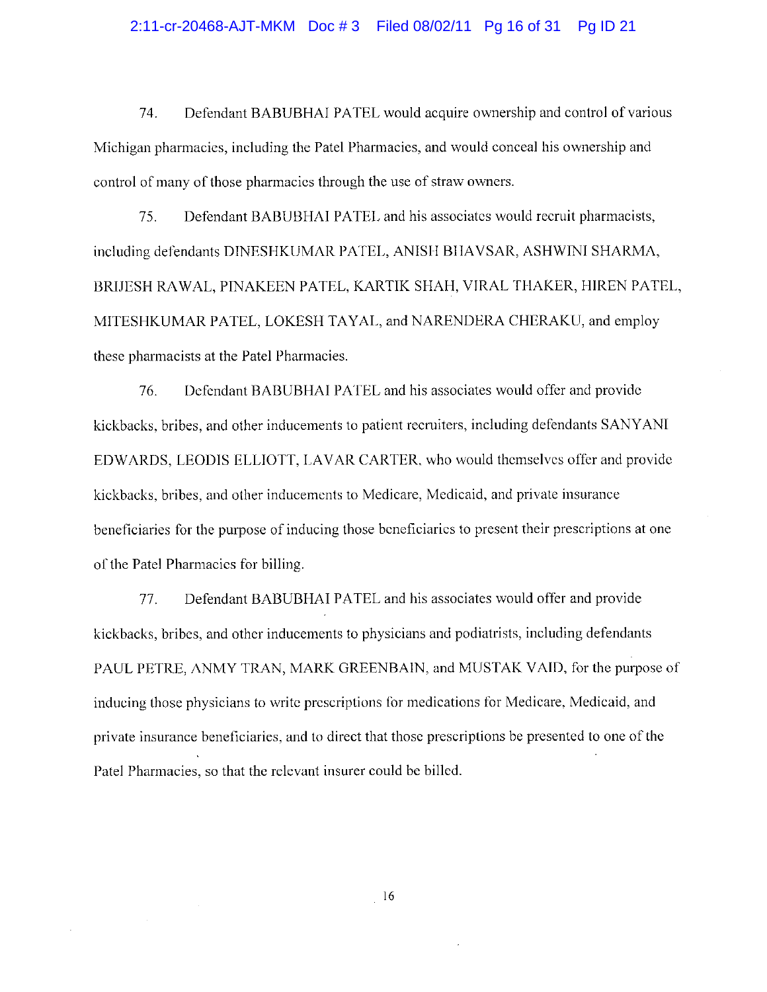#### 2:11-cr-20468-AJT-MKM Doc #3 Filed 08/02/11 Pg 16 of 31 Pg ID 21

Defendant BABUBHAI PATEL would acquire ownership and control of various 74. Michigan pharmacies, including the Patel Pharmacies, and would conceal his ownership and control of many of those pharmacies through the use of straw owners.

Defendant BABUBHAI PATEL and his associates would recruit pharmacists, 75. including defendants DINESHKUMAR PATEL, ANISH BHAVSAR, ASHWINI SHARMA, BRIJESH RAWAL, PINAKEEN PATEL, KARTIK SHAH, VIRAL THAKER, HIREN PATEL, MITESHKUMAR PATEL, LOKESH TAYAL, and NARENDERA CHERAKU, and employ these pharmacists at the Patel Pharmacies.

Defendant BABUBHAI PATEL and his associates would offer and provide 76. kickbacks, bribes, and other inducements to patient recruiters, including defendants SANYANI EDWARDS, LEODIS ELLIOTT, LAVAR CARTER, who would themselves offer and provide kickbacks, bribes, and other inducements to Medicare, Medicaid, and private insurance beneficiaries for the purpose of inducing those beneficiaries to present their prescriptions at one of the Patel Pharmacies for billing.

Defendant BABUBHAI PATEL and his associates would offer and provide 77. kickbacks, bribes, and other inducements to physicians and podiatrists, including defendants PAUL PETRE, ANMY TRAN, MARK GREENBAIN, and MUSTAK VAID, for the purpose of inducing those physicians to write prescriptions for medications for Medicare, Medicaid, and private insurance beneficiaries, and to direct that those prescriptions be presented to one of the Patel Pharmacies, so that the relevant insurer could be billed.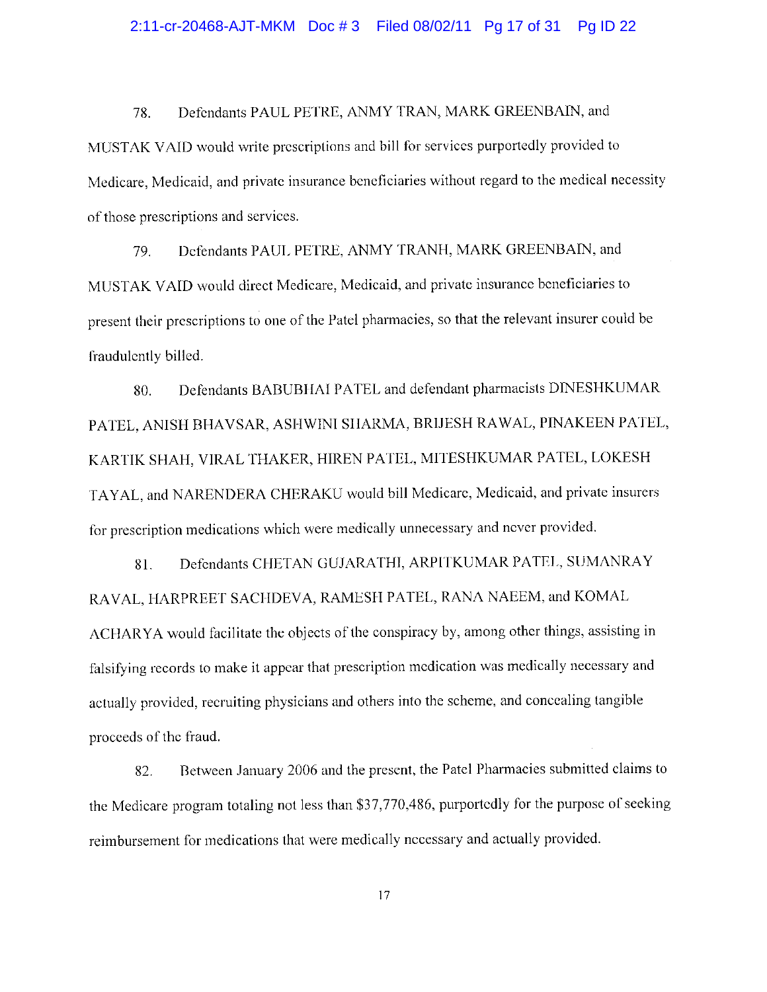#### 2:11-cr-20468-AJT-MKM Doc #3 Filed 08/02/11 Pg 17 of 31 Pg ID 22

Defendants PAUL PETRE, ANMY TRAN, MARK GREENBAIN, and 78. MUSTAK VAID would write prescriptions and bill for services purportedly provided to Medicare. Medicaid, and private insurance beneficiaries without regard to the medical necessity of those prescriptions and services.

79. Defendants PAUL PETRE, ANMY TRANH, MARK GREENBAIN, and MUSTAK VAID would direct Medicare, Medicaid, and private insurance beneficiaries to present their prescriptions to one of the Patel pharmacies, so that the relevant insurer could be fraudulently billed.

Defendants BABUBHAI PATEL and defendant pharmacists DINESHKUMAR 80. PATEL, ANISH BHAVSAR, ASHWINI SHARMA, BRIJESH RAWAL, PINAKEEN PATEL, KARTIK SHAH, VIRAL THAKER, HIREN PATEL, MITESHKUMAR PATEL, LOKESH TAYAL, and NARENDERA CHERAKU would bill Medicare, Medicaid, and private insurers for prescription medications which were medically unnecessary and never provided.

Defendants CHETAN GUJARATHI, ARPITKUMAR PATEL, SUMANRAY 81. RAVAL, HARPREET SACHDEVA, RAMESH PATEL, RANA NAEEM, and KOMAL ACHARYA would facilitate the objects of the conspiracy by, among other things, assisting in falsifying records to make it appear that prescription medication was medically necessary and actually provided, recruiting physicians and others into the scheme, and concealing tangible proceeds of the fraud.

Between January 2006 and the present, the Patel Pharmacies submitted claims to 82. the Medicare program totaling not less than \$37,770,486, purportedly for the purpose of seeking reimbursement for medications that were medically necessary and actually provided.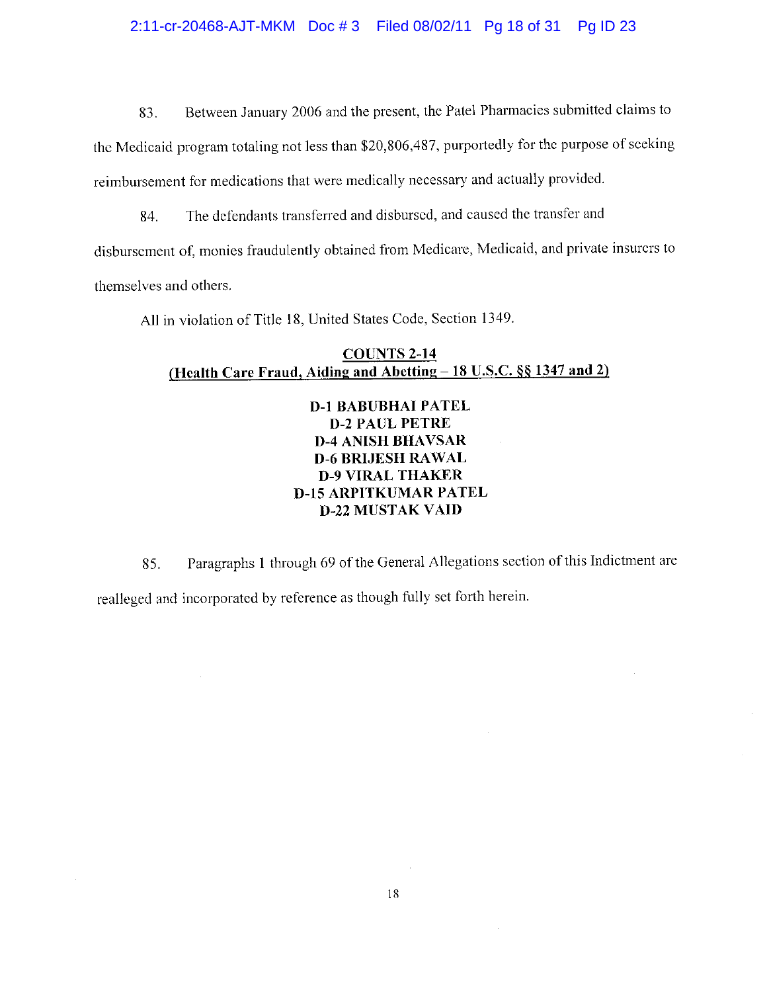#### 2:11-cr-20468-AJT-MKM Doc #3 Filed 08/02/11 Pg 18 of 31 Pg ID 23

Between January 2006 and the present, the Patel Pharmacies submitted claims to 83.

the Medicaid program totaling not less than \$20,806,487, purportedly for the purpose of seeking reimbursement for medications that were medically necessary and actually provided.

The defendants transferred and disbursed, and caused the transfer and 84.

disbursement of, monies fraudulently obtained from Medicare, Medicaid, and private insurers to themselves and others.

All in violation of Title 18, United States Code, Section 1349.

## **COUNTS 2-14** (Health Care Fraud, Aiding and Abetting – 18 U.S.C. §§ 1347 and 2)

# **D-1 BABUBHAI PATEL D-2 PAUL PETRE D-4 ANISH BHAVSAR D-6 BRIJESH RAWAL D-9 VIRAL THAKER D-15 ARPITKUMAR PATEL D-22 MUSTAK VAID**

Paragraphs 1 through 69 of the General Allegations section of this Indictment are 85. realleged and incorporated by reference as though fully set forth herein.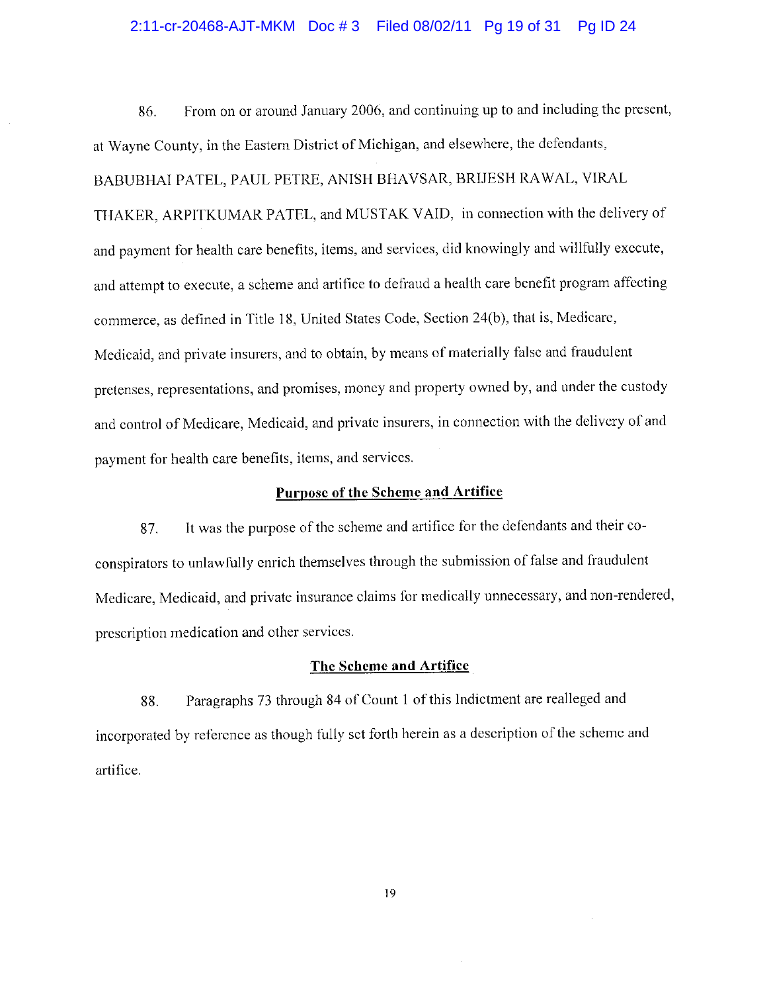#### 2:11-cr-20468-AJT-MKM Doc #3 Filed 08/02/11 Pg 19 of 31 Pg ID 24

From on or around January 2006, and continuing up to and including the present, 86. at Wayne County, in the Eastern District of Michigan, and elsewhere, the defendants, BABUBHAI PATEL, PAUL PETRE, ANISH BHAVSAR, BRIJESH RAWAL, VIRAL THAKER, ARPITKUMAR PATEL, and MUSTAK VAID, in connection with the delivery of and payment for health care benefits, items, and services, did knowingly and willfully execute. and attempt to execute, a scheme and artifice to defraud a health care benefit program affecting commerce, as defined in Title 18, United States Code, Section 24(b), that is, Medicare, Medicaid, and private insurers, and to obtain, by means of materially false and fraudulent pretenses, representations, and promises, money and property owned by, and under the custody and control of Medicare, Medicaid, and private insurers, in connection with the delivery of and payment for health care benefits, items, and services.

## Purpose of the Scheme and Artifice

It was the purpose of the scheme and artifice for the defendants and their co-87. conspirators to unlawfully enrich themselves through the submission of false and fraudulent Medicare, Medicaid, and private insurance claims for medically unnecessary, and non-rendered, prescription medication and other services.

#### The Scheme and Artifice

Paragraphs 73 through 84 of Count 1 of this Indictment are realleged and 88. incorporated by reference as though fully set forth herein as a description of the scheme and artifice.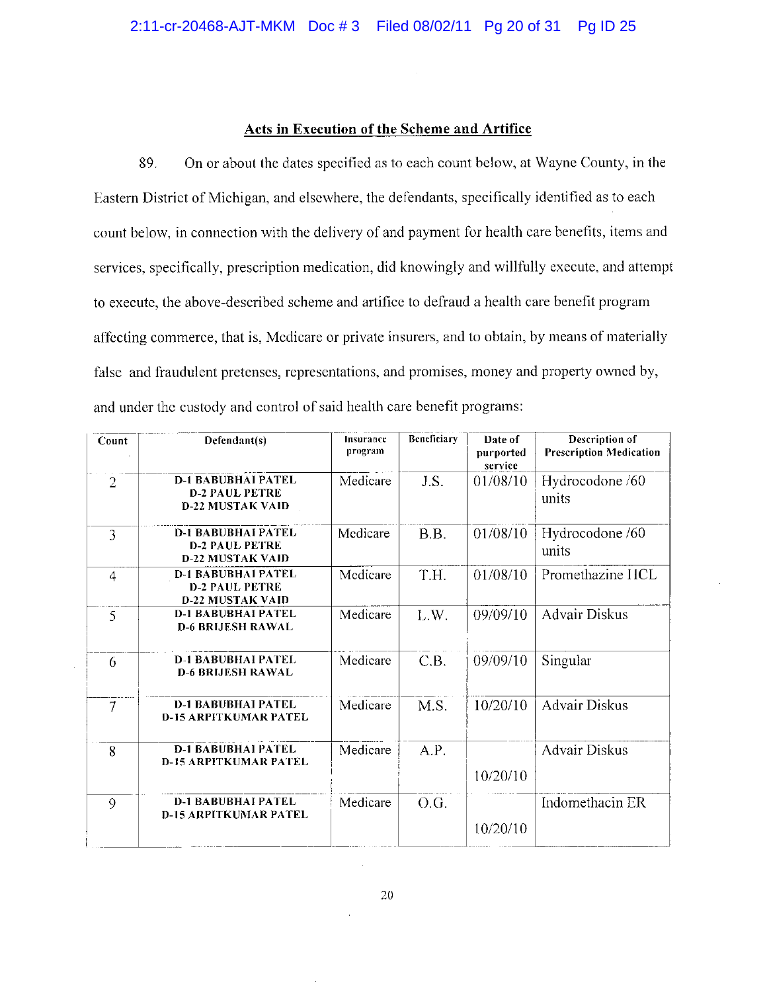#### Acts in Execution of the Scheme and Artifice

89. On or about the dates specified as to each count below, at Wayne County, in the Eastern District of Michigan, and elsewhere, the defendants, specifically identified as to each count below, in connection with the delivery of and payment for health care benefits, items and services, specifically, prescription medication, did knowingly and willfully execute, and attempt to execute, the above-described scheme and artifice to defraud a health care benefit program affecting commerce, that is, Medicare or private insurers, and to obtain, by means of materially false and fraudulent pretenses, representations, and promises, money and property owned by, and under the custody and control of said health care benefit programs:

| Count          | Defendant(s)                                                                  | Insurance<br>program | Beneficiary | Date of<br>purported<br>service | Description of<br><b>Prescription Medication</b> |
|----------------|-------------------------------------------------------------------------------|----------------------|-------------|---------------------------------|--------------------------------------------------|
| $\overline{2}$ | <b>D-1 BABUBHAI PATEL</b><br><b>D-2 PAUL PETRE</b><br><b>D-22 MUSTAK VAID</b> | Medicare             | J.S.        | 01/08/10                        | Hydrocodone /60<br>units                         |
| 3              | <b>D-1 BABUBHAI PATEL</b><br><b>D-2 PAUL PETRE</b><br><b>D-22 MUSTAK VAID</b> | Medicare             | B.B.        | 01/08/10                        | Hydrocodone /60<br>units                         |
| $\overline{4}$ | <b>D-1 BABUBHAI PATEL</b><br><b>D-2 PAUL PETRE</b><br><b>D-22 MUSTAK VAID</b> | Medicare             | T.H.        | 01/08/10                        | Promethazine HCL                                 |
| 5              | <b>D-1 BABUBHAI PATEL</b><br><b>D-6 BRIJESH RAWAL</b>                         | Medicare             | L.W.        | 09/09/10                        | <b>Advair Diskus</b>                             |
| 6              | <b>D-1 BABUBHAI PATEL</b><br><b>D-6 BRIJESH RAWAL</b>                         | Medicare             | C.B.        | 09/09/10                        | Singular                                         |
| 7              | <b>D-1 BABUBHAI PATEL</b><br><b>D-15 ARPITKUMAR PATEL</b>                     | Medicare             | M.S.        | 10/20/10                        | <b>Advair Diskus</b>                             |
| 8              | <b>D-1 BABUBHAI PATEL</b><br><b>D-15 ARPITKUMAR PATEL</b>                     | Medicare             | A.P.        | 10/20/10                        | <b>Advair Diskus</b>                             |
| 9              | <b>D-1 BABUBHAI PATEL</b><br><b>D-15 ARPITKUMAR PATEL</b>                     | Medicare             | O.G.        | 10/20/10                        | Indomethacin ER                                  |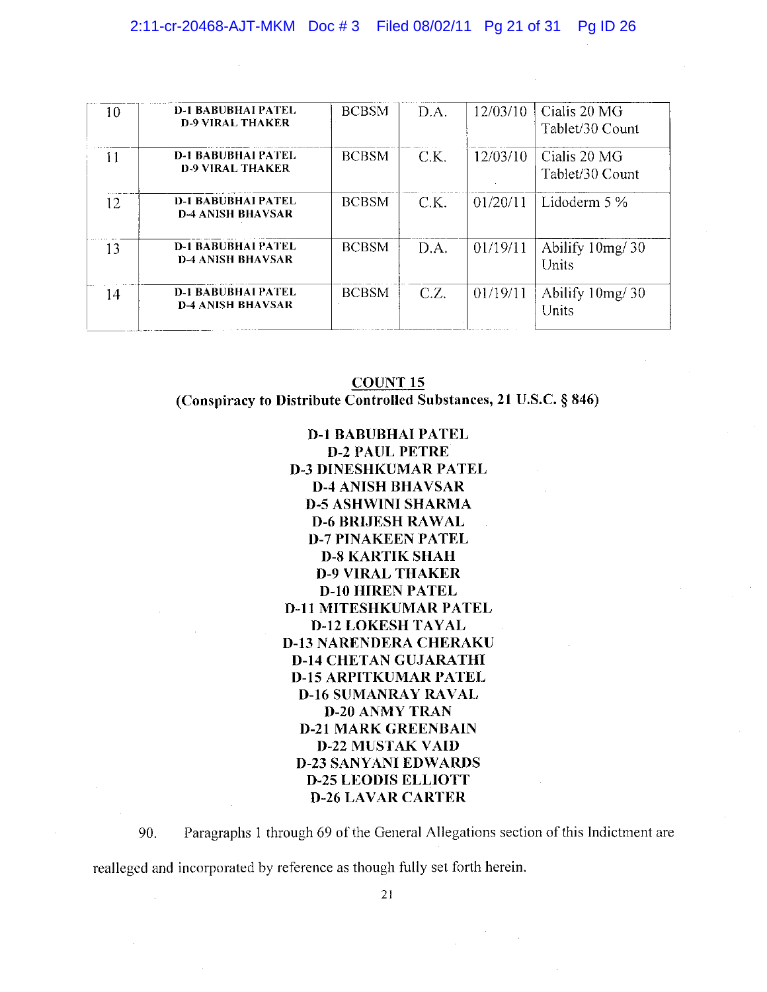#### 2:11-cr-20468-AJT-MKM Doc #3 Filed 08/02/11 Pg 21 of 31 Pg ID 26

| 10 | <b>D-1 BABUBHAI PATEL</b><br><b>D-9 VIRAL THAKER</b>  | <b>BCBSM</b> | D.A. | 12/03/10 | Cialis 20 MG<br>Tablet/30 Count |
|----|-------------------------------------------------------|--------------|------|----------|---------------------------------|
| 11 | <b>D-1 BABUBHAI PATEL</b><br><b>D-9 VIRAL THAKER</b>  | <b>BCBSM</b> | C.K. | 12/03/10 | Cialis 20 MG<br>Tablet/30 Count |
| 12 | <b>D-1 BABUBHAI PATEL</b><br><b>D-4 ANISH BHAVSAR</b> | <b>BCBSM</b> | CK.  | 01/20/11 | Lidoderm $5\%$                  |
| 13 | <b>D-1 BABUBHAI PATEL</b><br><b>D-4 ANISH BHAVSAR</b> | <b>BCBSM</b> | D.A. | 01/19/11 | Abilify $10mg/30$<br>Units      |
| 14 | <b>D-1 BABUBHAI PATEL</b><br><b>D-4 ANISH BHAVSAR</b> | <b>BCBSM</b> | C.Z. | 01/19/11 | Abilify 10mg/30<br>Units        |

## **COUNT 15** (Conspiracy to Distribute Controlled Substances, 21 U.S.C. § 846)

**D-1 BABUBHAI PATEL D-2 PAUL PETRE D-3 DINESHKUMAR PATEL D-4 ANISH BHAVSAR D-5 ASHWINI SHARMA D-6 BRIJESH RAWAL D-7 PINAKEEN PATEL D-8 KARTIK SHAH D-9 VIRAL THAKER D-10 HIREN PATEL D-11 MITESHKUMAR PATEL D-12 LOKESH TAYAL D-13 NARENDERA CHERAKU D-14 CHETAN GUJARATHI D-15 ARPITKUMAR PATEL D-16 SUMANRAY RAVAL D-20 ANMY TRAN D-21 MARK GREENBAIN D-22 MUSTAK VAID D-23 SANYANI EDWARDS D-25 LEODIS ELLIOTT D-26 LAVAR CARTER** 

90. Paragraphs 1 through 69 of the General Allegations section of this Indictment are realleged and incorporated by reference as though fully set forth herein.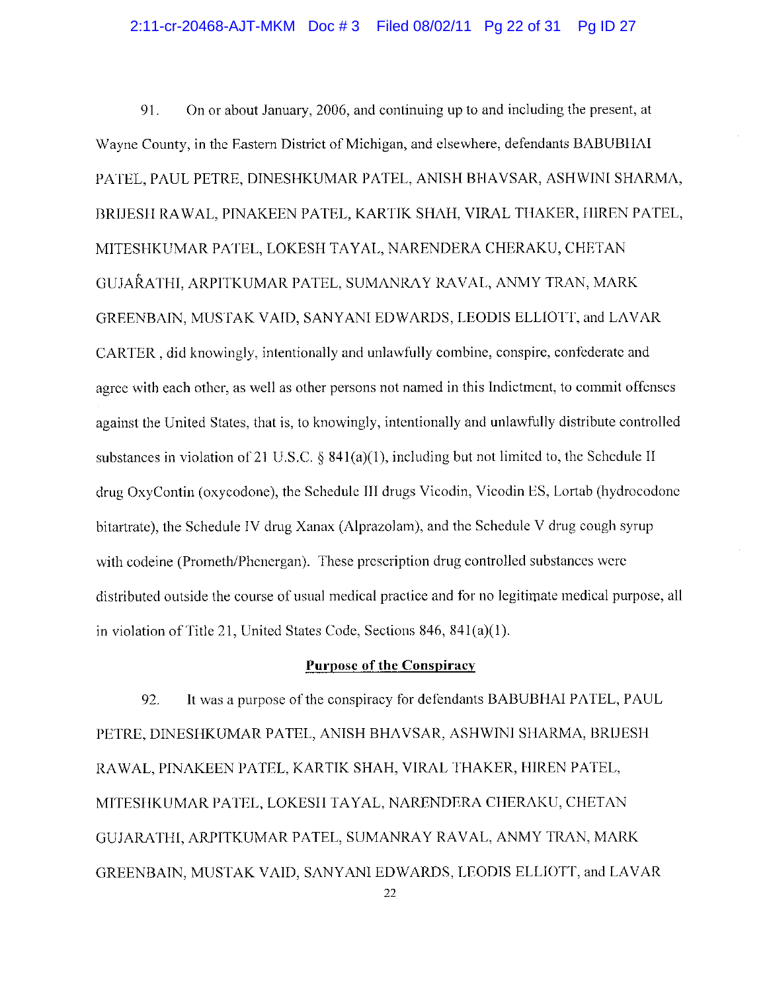On or about January, 2006, and continuing up to and including the present, at 91. Wayne County, in the Eastern District of Michigan, and elsewhere, defendants BABUBHAI PATEL, PAUL PETRE, DINESHKUMAR PATEL, ANISH BHAVSAR, ASHWINI SHARMA, BRIJESH RAWAL, PINAKEEN PATEL, KARTIK SHAH, VIRAL THAKER, HIREN PATEL, MITESHKUMAR PATEL, LOKESH TAYAL, NARENDERA CHERAKU, CHETAN GUJARATHI, ARPITKUMAR PATEL, SUMANRAY RAVAL, ANMY TRAN, MARK GREENBAIN, MUSTAK VAID, SANYANI EDWARDS, LEODIS ELLIOTT, and LAVAR CARTER, did knowingly, intentionally and unlawfully combine, conspire, confederate and agree with each other, as well as other persons not named in this Indictment, to commit offenses against the United States, that is, to knowingly, intentionally and unlawfully distribute controlled substances in violation of 21 U.S.C.  $\&$  841(a)(1), including but not limited to, the Schedule II drug OxyContin (oxycodone), the Schedule III drugs Vicodin, Vicodin ES, Lortab (hydrocodone bitartrate), the Schedule IV drug Xanax (Alprazolam), and the Schedule V drug cough syrup with codeine (Prometh/Phenergan). These prescription drug controlled substances were distributed outside the course of usual medical practice and for no legitimate medical purpose, all in violation of Title 21, United States Code, Sections 846, 841(a)(1).

## **Purpose of the Conspiracy**

92. It was a purpose of the conspiracy for defendants BABUBHAI PATEL, PAUL PETRE, DINESHKUMAR PATEL, ANISH BHAVSAR, ASHWINI SHARMA, BRIJESH RAWAL, PINAKEEN PATEL, KARTIK SHAH, VIRAL THAKER, HIREN PATEL, MITESHKUMAR PATEL, LOKESH TAYAL, NARENDERA CHERAKU, CHETAN GUJARATHI, ARPITKUMAR PATEL, SUMANRAY RAVAL, ANMY TRAN, MARK GREENBAIN, MUSTAK VAID, SANYANI EDWARDS, LEODIS ELLIOTT, and LAVAR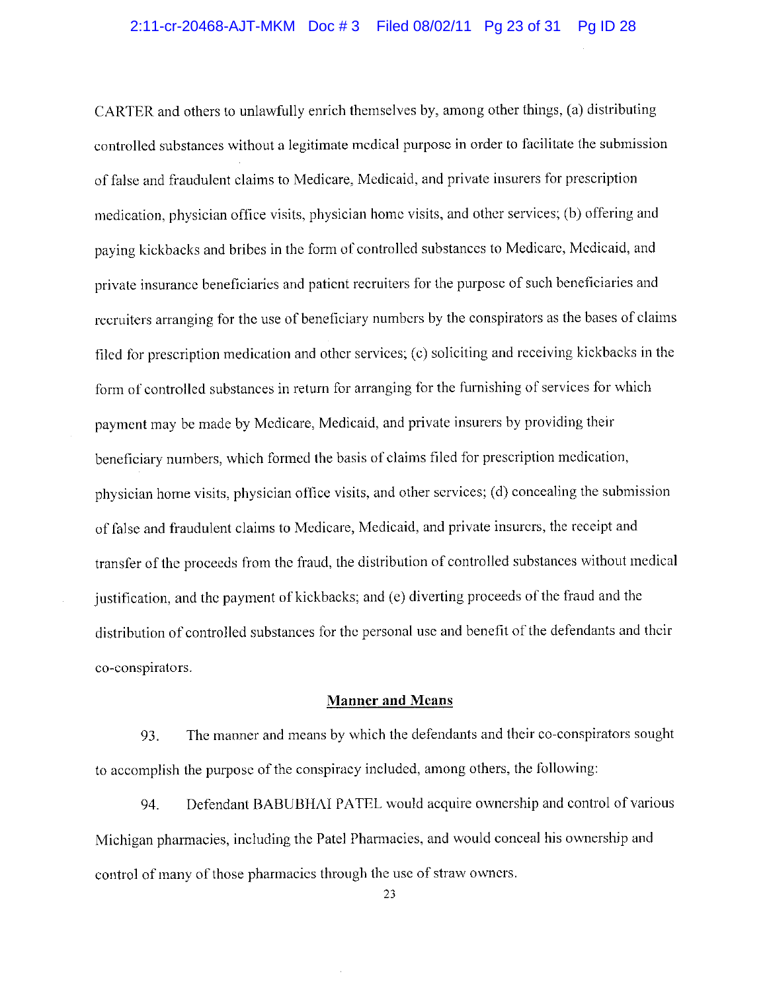CARTER and others to unlawfully enrich themselves by, among other things, (a) distributing controlled substances without a legitimate medical purpose in order to facilitate the submission of false and fraudulent claims to Medicare, Medicaid, and private insurers for prescription medication, physician office visits, physician home visits, and other services; (b) offering and paying kickbacks and bribes in the form of controlled substances to Medicare, Medicaid, and private insurance beneficiaries and patient recruiters for the purpose of such beneficiaries and recruiters arranging for the use of beneficiary numbers by the conspirators as the bases of claims filed for prescription medication and other services; (c) soliciting and receiving kickbacks in the form of controlled substances in return for arranging for the furnishing of services for which payment may be made by Medicare, Medicaid, and private insurers by providing their beneficiary numbers, which formed the basis of claims filed for prescription medication, physician home visits, physician office visits, and other services; (d) concealing the submission of false and fraudulent claims to Medicare, Medicaid, and private insurers, the receipt and transfer of the proceeds from the fraud, the distribution of controlled substances without medical justification, and the payment of kickbacks; and (e) diverting proceeds of the fraud and the distribution of controlled substances for the personal use and benefit of the defendants and their co-conspirators.

## **Manner and Means**

The manner and means by which the defendants and their co-conspirators sought 93. to accomplish the purpose of the conspiracy included, among others, the following:

Defendant BABUBHAI PATEL would acquire ownership and control of various 94. Michigan pharmacies, including the Patel Pharmacies, and would conceal his ownership and control of many of those pharmacies through the use of straw owners.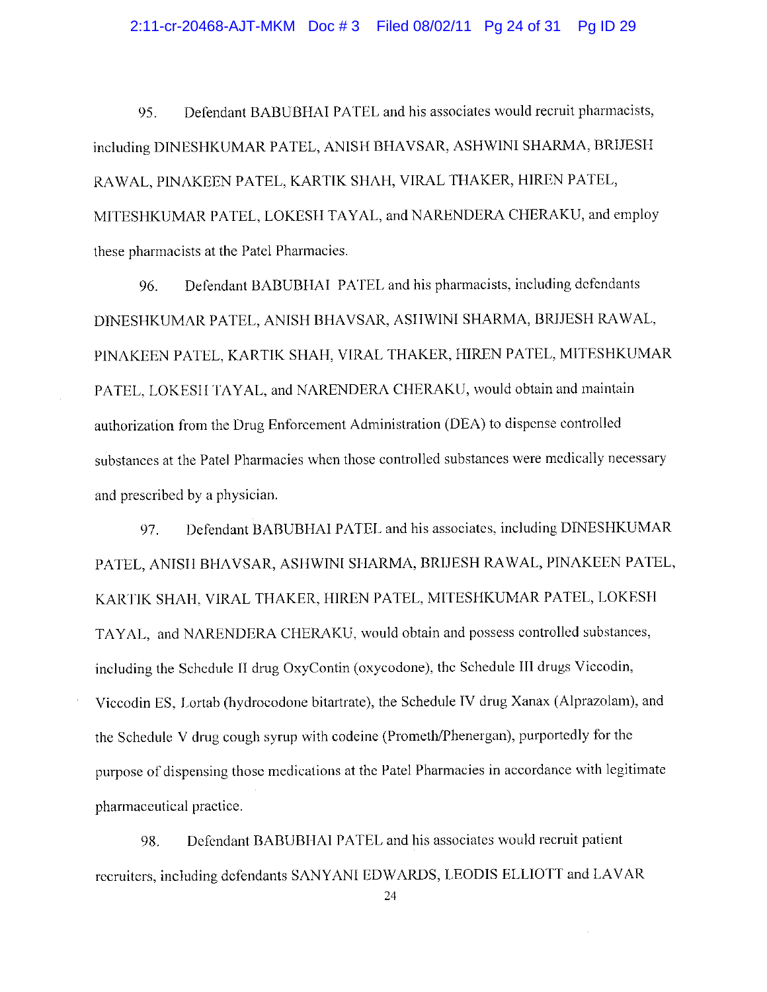#### 2:11-cr-20468-AJT-MKM Doc #3 Filed 08/02/11 Pg 24 of 31 Pg ID 29

Defendant BABUBHAI PATEL and his associates would recruit pharmacists, 95. including DINESHKUMAR PATEL, ANISH BHAVSAR, ASHWINI SHARMA, BRIJESH RAWAL, PINAKEEN PATEL, KARTIK SHAH, VIRAL THAKER, HIREN PATEL, MITESHKUMAR PATEL, LOKESH TAYAL, and NARENDERA CHERAKU, and employ these pharmacists at the Patel Pharmacies.

Defendant BABUBHAI PATEL and his pharmacists, including defendants 96. DINESHKUMAR PATEL, ANISH BHAVSAR, ASHWINI SHARMA, BRIJESH RAWAL, PINAKEEN PATEL, KARTIK SHAH, VIRAL THAKER, HIREN PATEL, MITESHKUMAR PATEL, LOKESH TAYAL, and NARENDERA CHERAKU, would obtain and maintain authorization from the Drug Enforcement Administration (DEA) to dispense controlled substances at the Patel Pharmacies when those controlled substances were medically necessary and prescribed by a physician.

Defendant BABUBHAI PATEL and his associates, including DINESHKUMAR 97. PATEL, ANISH BHAVSAR, ASHWINI SHARMA, BRIJESH RAWAL, PINAKEEN PATEL, KARTIK SHAH, VIRAL THAKER, HIREN PATEL, MITESHKUMAR PATEL, LOKESH TAYAL, and NARENDERA CHERAKU, would obtain and possess controlled substances, including the Schedule II drug OxyContin (oxycodone), the Schedule III drugs Viccodin, Viccodin ES, Lortab (hydrocodone bitartrate), the Schedule IV drug Xanax (Alprazolam), and the Schedule V drug cough syrup with codeine (Prometh/Phenergan), purportedly for the purpose of dispensing those medications at the Patel Pharmacies in accordance with legitimate pharmaceutical practice.

Defendant BABUBHAI PATEL and his associates would recruit patient 98. recruiters, including defendants SANYANI EDWARDS, LEODIS ELLIOTT and LAVAR

<sup>24</sup>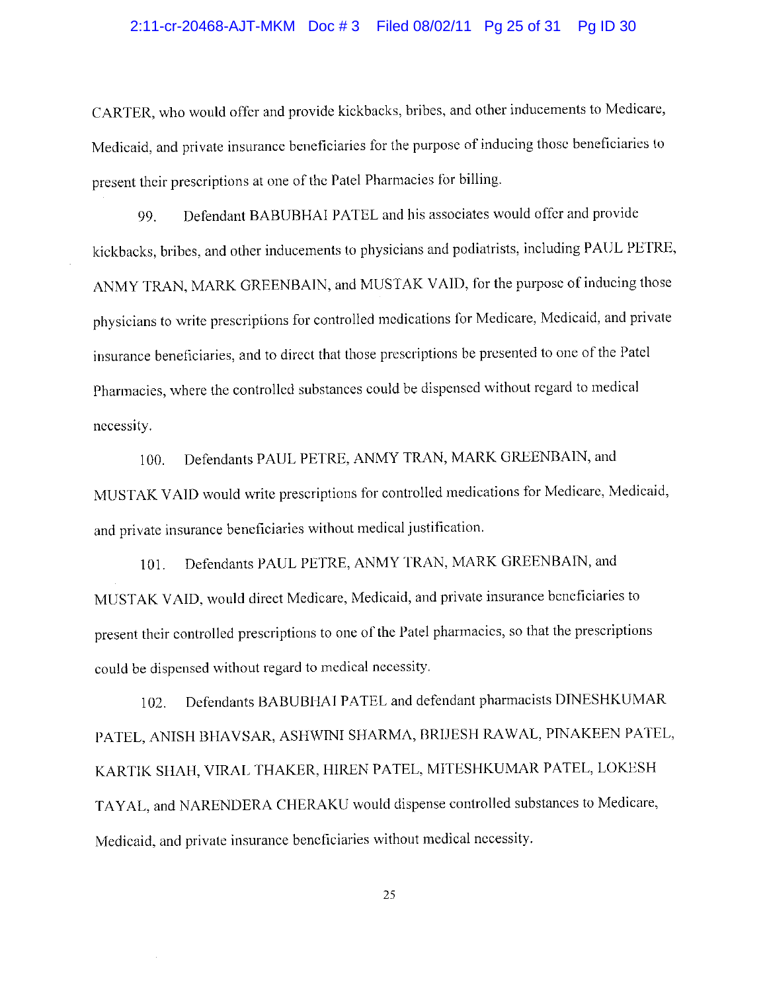#### 2:11-cr-20468-AJT-MKM Doc #3 Filed 08/02/11 Pg 25 of 31 Pg ID 30

CARTER, who would offer and provide kickbacks, bribes, and other inducements to Medicare, Medicaid, and private insurance beneficiaries for the purpose of inducing those beneficiaries to present their prescriptions at one of the Patel Pharmacies for billing.

Defendant BABUBHAI PATEL and his associates would offer and provide 99. kickbacks, bribes, and other inducements to physicians and podiatrists, including PAUL PETRE, ANMY TRAN, MARK GREENBAIN, and MUSTAK VAID, for the purpose of inducing those physicians to write prescriptions for controlled medications for Medicare, Medicaid, and private insurance beneficiaries, and to direct that those prescriptions be presented to one of the Patel Pharmacies, where the controlled substances could be dispensed without regard to medical necessity.

Defendants PAUL PETRE, ANMY TRAN, MARK GREENBAIN, and  $100.$ MUSTAK VAID would write prescriptions for controlled medications for Medicare, Medicaid, and private insurance beneficiaries without medical justification.

Defendants PAUL PETRE, ANMY TRAN, MARK GREENBAIN, and 101. MUSTAK VAID, would direct Medicare, Medicaid, and private insurance beneficiaries to present their controlled prescriptions to one of the Patel pharmacies, so that the prescriptions could be dispensed without regard to medical necessity.

Defendants BABUBHAI PATEL and defendant pharmacists DINESHKUMAR 102. PATEL, ANISH BHAVSAR, ASHWINI SHARMA, BRIJESH RAWAL, PINAKEEN PATEL, KARTIK SHAH, VIRAL THAKER, HIREN PATEL, MITESHKUMAR PATEL, LOKESH TAYAL, and NARENDERA CHERAKU would dispense controlled substances to Medicare, Medicaid, and private insurance beneficiaries without medical necessity.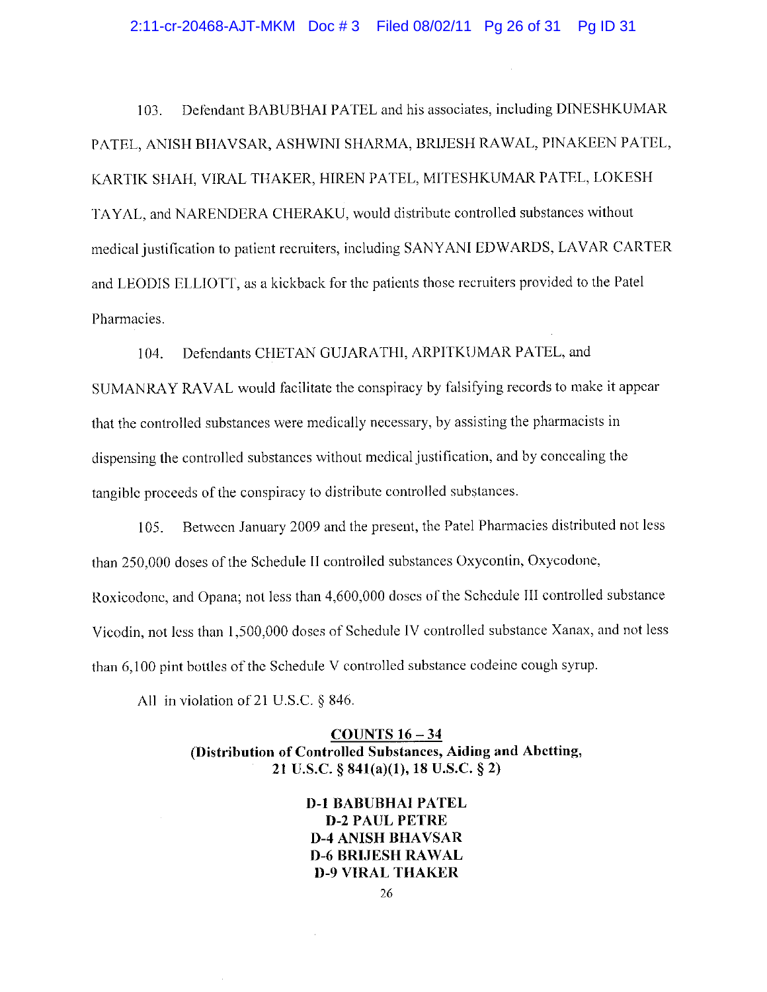#### 2:11-cr-20468-AJT-MKM Doc #3 Filed 08/02/11 Pg 26 of 31 Pg ID 31

Defendant BABUBHAI PATEL and his associates, including DINESHKUMAR  $103.$ PATEL, ANISH BHAVSAR, ASHWINI SHARMA, BRIJESH RAWAL, PINAKEEN PATEL, KARTIK SHAH, VIRAL THAKER, HIREN PATEL, MITESHKUMAR PATEL, LOKESH TAYAL, and NARENDERA CHERAKU, would distribute controlled substances without medical justification to patient recruiters, including SANYANI EDWARDS, LAVAR CARTER and LEODIS ELLIOTT, as a kickback for the patients those recruiters provided to the Patel Pharmacies.

Defendants CHETAN GUJARATHI, ARPITKUMAR PATEL, and 104.

SUMANRAY RAVAL would facilitate the conspiracy by falsifying records to make it appear that the controlled substances were medically necessary, by assisting the pharmacists in dispensing the controlled substances without medical justification, and by concealing the tangible proceeds of the conspiracy to distribute controlled substances.

Between January 2009 and the present, the Patel Pharmacies distributed not less  $105.$ than 250,000 doses of the Schedule II controlled substances Oxycontin, Oxycodone, Roxicodone, and Opana; not less than 4,600,000 doses of the Schedule III controlled substance Vicodin, not less than 1,500,000 doses of Schedule IV controlled substance Xanax, and not less than 6,100 pint bottles of the Schedule V controlled substance codeine cough syrup.

All in violation of 21 U.S.C.  $\S$  846.

COUNTS  $16 - 34$ (Distribution of Controlled Substances, Aiding and Abetting, 21 U.S.C. § 841(a)(1), 18 U.S.C. § 2)

> **D-1 BABUBHAI PATEL D-2 PAUL PETRE D-4 ANISH BHAVSAR D-6 BRIJESH RAWAL D-9 VIRAL THAKER**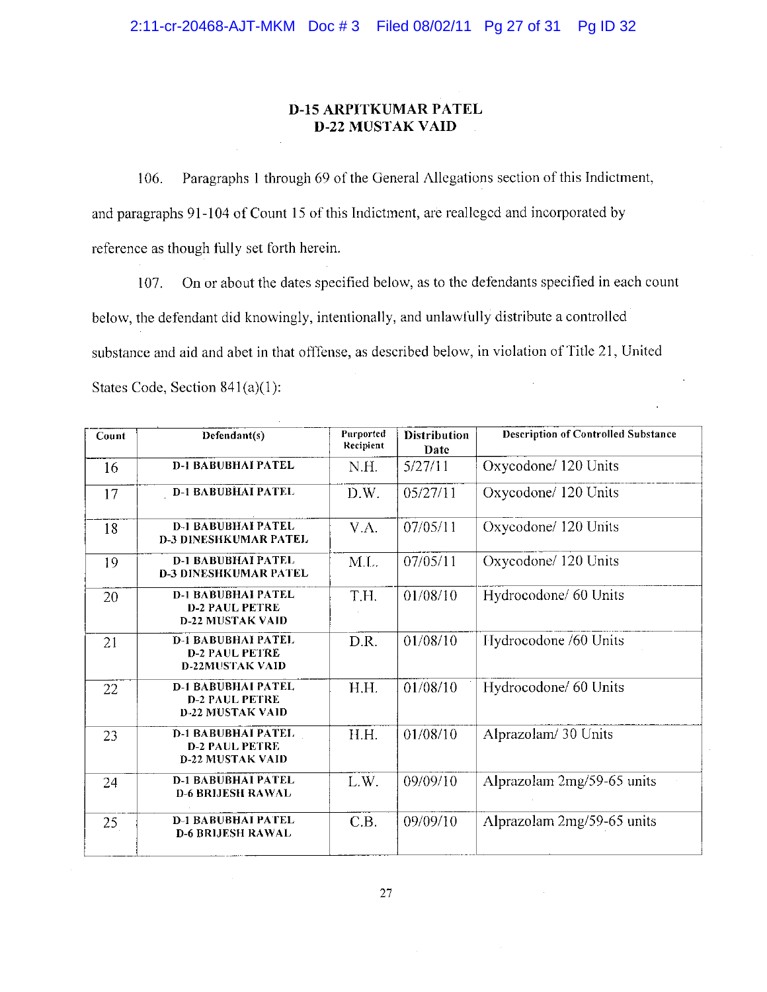## **D-15 ARPITKUMAR PATEL D-22 MUSTAK VAID**

Paragraphs 1 through 69 of the General Allegations section of this Indictment, 106. and paragraphs 91-104 of Count 15 of this Indictment, are realleged and incorporated by reference as though fully set forth herein.

On or about the dates specified below, as to the defendants specified in each count 107. below, the defendant did knowingly, intentionally, and unlawfully distribute a controlled substance and aid and abet in that offfense, as described below, in violation of Title 21, United States Code, Section 841(a)(1):

| Count | Defendant(s)                                                                  | Purported<br>Recipient | <b>Distribution</b><br>Date | <b>Description of Controlled Substance</b> |
|-------|-------------------------------------------------------------------------------|------------------------|-----------------------------|--------------------------------------------|
| 16    | <b>D-1 BABUBHAI PATEL</b>                                                     | N.H.                   | 5/27/11                     | Oxycodone/120 Units                        |
| 17    | <b>D-1 BABUBHAI PATEL</b>                                                     | D.W.                   | 05/27/11                    | Oxycodone/ 120 Units                       |
| 18    | <b>D-1 BABUBHAI PATEL</b><br><b>D-3 DINESHKUMAR PATEL</b>                     | V.A.                   | 07/05/11                    | Oxycodone/ 120 Units                       |
| 19    | <b>D-1 BABUBHAI PATEL</b><br><b>D-3 DINESHKUMAR PATEL</b>                     | M.L.                   | 07/05/11                    | Oxycodone/ 120 Units                       |
| 20    | <b>D-1 BABUBHAI PATEL</b><br><b>D-2 PAUL PETRE</b><br><b>D-22 MUSTAK VAID</b> | T.H.                   | 01/08/10                    | Hydrocodone/ 60 Units                      |
| 21    | <b>D-1 BABUBHAI PATEL</b><br><b>D-2 PAUL PETRE</b><br><b>D-22MUSTAK VAID</b>  | D.R.                   | 01/08/10                    | Hydrocodone /60 Units                      |
| 22    | <b>D-1 BABUBHAI PATEL</b><br><b>D-2 PAUL PETRE</b><br><b>D-22 MUSTAK VAID</b> | H.H.                   | 01/08/10                    | Hydrocodone/ 60 Units                      |
| 23    | <b>D-1 BABUBHAI PATEL</b><br><b>D-2 PAUL PETRE</b><br><b>D-22 MUSTAK VAID</b> | H.H.                   | 01/08/10                    | Alprazolam/30 Units                        |
| 24    | <b>D-1 BABUBHAI PATEL</b><br><b>D-6 BRIJESH RAWAL</b>                         | L.W.                   | 09/09/10                    | Alprazolam 2mg/59-65 units                 |
| 25    | <b>D-1 BABUBHAI PATEL</b><br><b>D-6 BRLIESH RAWAL</b>                         | C.B.                   | 09/09/10                    | Alprazolam 2mg/59-65 units                 |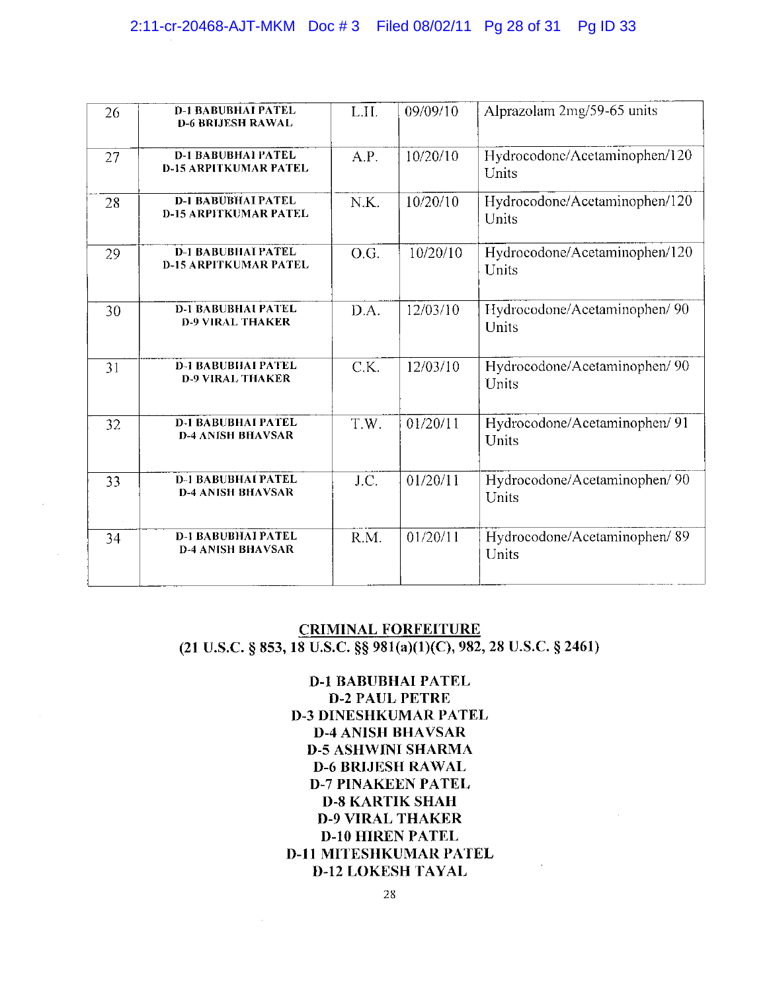# 2:11-cr-20468-AJT-MKM Doc # 3 Filed 08/02/11 Pg 28 of 31 Pg ID 33

| 26 | <b>D-1 BABUBHAI PATEL</b><br><b>D-6 BRIJESH RAWAL</b>     | L.II. | 09/09/10 | Alprazolam 2mg/59-65 units             |
|----|-----------------------------------------------------------|-------|----------|----------------------------------------|
| 27 | <b>D-1 BABUBHAI PATEL</b><br><b>D-15 ARPITKUMAR PATEL</b> | A.P.  | 10/20/10 | Hydrocodone/Acetaminophen/120<br>Units |
| 28 | <b>D-1 BABUBHAI PATEL</b><br><b>D-15 ARPITKUMAR PATEL</b> | N.K.  | 10/20/10 | Hydrocodone/Acetaminophen/120<br>Units |
| 29 | <b>D-1 BABUBHAI PATEL</b><br><b>D-15 ARPITKUMAR PATEL</b> | O.G.  | 10/20/10 | Hydrocodone/Acetaminophen/120<br>Units |
| 30 | <b>D-1 BABUBHAI PATEL</b><br><b>D-9 VIRAL THAKER</b>      | D.A.  | 12/03/10 | Hydrocodone/Acetaminophen/ 90<br>Units |
| 31 | <b>D-1 BABUBHAI PATEL</b><br><b>D-9 VIRAL THAKER</b>      | C.K.  | 12/03/10 | Hydrocodone/Acetaminophen/ 90<br>Units |
| 32 | <b>D-1 BABUBHAI PATEL</b><br><b>D-4 ANISH BHAVSAR</b>     | T.W.  | 01/20/11 | Hydrocodone/Acetaminophen/ 91<br>Units |
| 33 | <b>D-1 BABUBHAI PATEL</b><br><b>D-4 ANISH BHAVSAR</b>     | J.C.  | 01/20/11 | Hydrocodone/Acetaminophen/ 90<br>Units |
| 34 | <b>D-I BABUBHAI PATEL</b><br><b>D-4 ANISH BHAVSAR</b>     | R.M.  | 01/20/11 | Hydrocodone/Acetaminophen/89<br>Units  |

# **CRIMINAL FORFEITURE**  $(21 \text{ U.S.C. }$ § 853, 18 U.S.C. §§ 981(a)(1)(C), 982, 28 U.S.C. § 2461)

**D-1 BABUBHAI PATEL D-2 PAUL PETRE D-3 DINESHKUMAR PATEL D-4 ANISH BHAVSAR D-5 ASHWINI SHARMA D-6 BRIJESH RAWAL D-7 PINAKEEN PATEL D-8 KARTIK SHAH D-9 VIRAL THAKER D-10 HIREN PATEL D-11 MITESHKUMAR PATEL D-12 LOKESH TAYAL**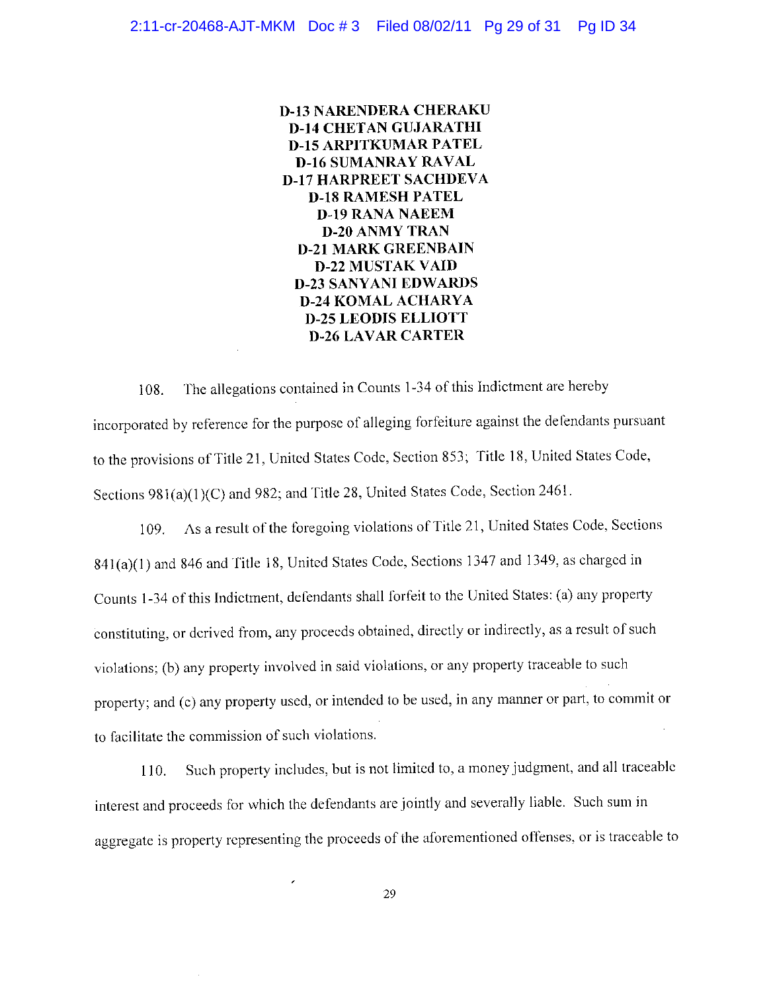**D-13 NARENDERA CHERAKU D-14 CHETAN GUJARATHI D-15 ARPITKUMAR PATEL D-16 SUMANRAY RAVAL D-17 HARPREET SACHDEVA D-18 RAMESH PATEL D-19 RANA NAEEM D-20 ANMY TRAN D-21 MARK GREENBAIN D-22 MUSTAK VAID D-23 SANYANI EDWARDS D-24 KOMAL ACHARYA D-25 LEODIS ELLIOTT D-26 LAVAR CARTER** 

The allegations contained in Counts 1-34 of this Indictment are hereby 108. incorporated by reference for the purpose of alleging forfeiture against the defendants pursuant to the provisions of Title 21, United States Code, Section 853; Title 18, United States Code, Sections 981(a)(1)(C) and 982; and Title 28, United States Code, Section 2461.

As a result of the foregoing violations of Title 21, United States Code, Sections 109. 841(a)(1) and 846 and Title 18, United States Code, Sections 1347 and 1349, as charged in Counts 1-34 of this Indictment, defendants shall forfeit to the United States: (a) any property constituting, or derived from, any proceeds obtained, directly or indirectly, as a result of such violations; (b) any property involved in said violations, or any property traceable to such property; and (c) any property used, or intended to be used, in any manner or part, to commit or to facilitate the commission of such violations.

Such property includes, but is not limited to, a money judgment, and all traceable 110. interest and proceeds for which the defendants are jointly and severally liable. Such sum in aggregate is property representing the proceeds of the aforementioned offenses, or is traceable to

 $\overline{\phantom{0}}$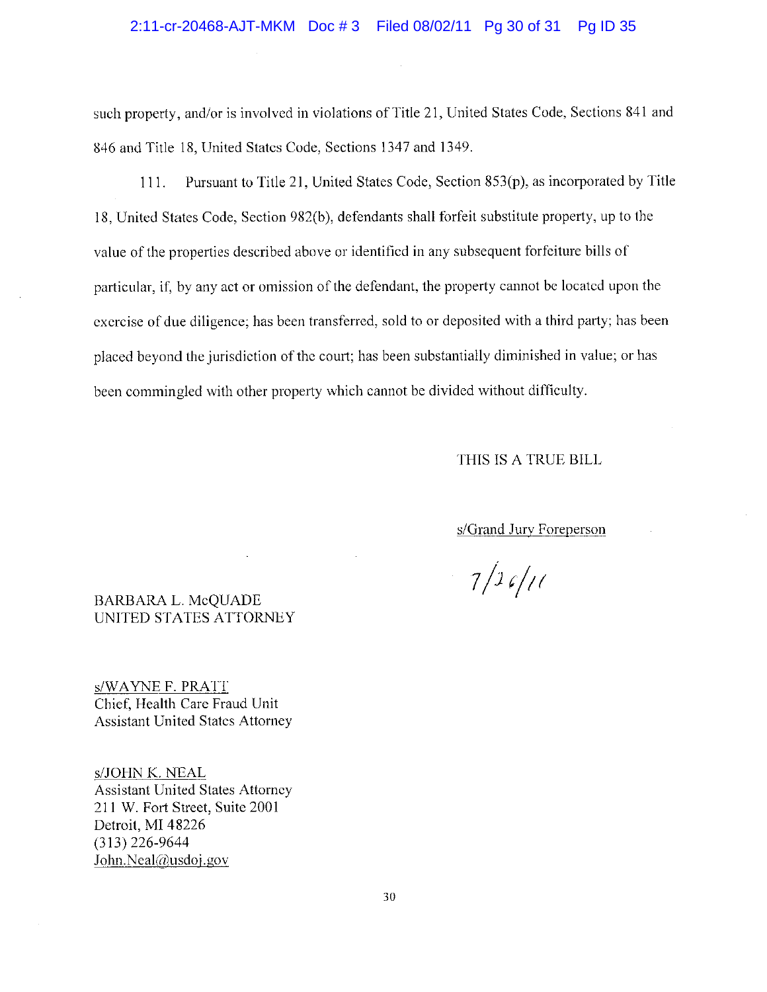#### 2:11-cr-20468-AJT-MKM Doc #3 Filed 08/02/11 Pg 30 of 31 Pg ID 35

such property, and/or is involved in violations of Title 21, United States Code, Sections 841 and 846 and Title 18, United States Code, Sections 1347 and 1349.

Pursuant to Title 21, United States Code, Section 853(p), as incorporated by Title  $111.$ 18. United States Code, Section 982(b), defendants shall forfeit substitute property, up to the value of the properties described above or identified in any subsequent forfeiture bills of particular, if, by any act or omission of the defendant, the property cannot be located upon the exercise of due diligence; has been transferred, sold to or deposited with a third party; has been placed beyond the jurisdiction of the court; has been substantially diminished in value; or has been commingled with other property which cannot be divided without difficulty.

## THIS IS A TRUE BILL

s/Grand Jury Foreperson

 $7/26/11$ 

## **BARBARA L. McQUADE** UNITED STATES ATTORNEY

s/WAYNE F. PRATT Chief, Health Care Fraud Unit **Assistant United States Attorney** 

s/JOHN K. NEAL **Assistant United States Attorney** 211 W. Fort Street, Suite 2001 Detroit, MI 48226  $(313)$  226-9644 John.Neal@usdoj.gov